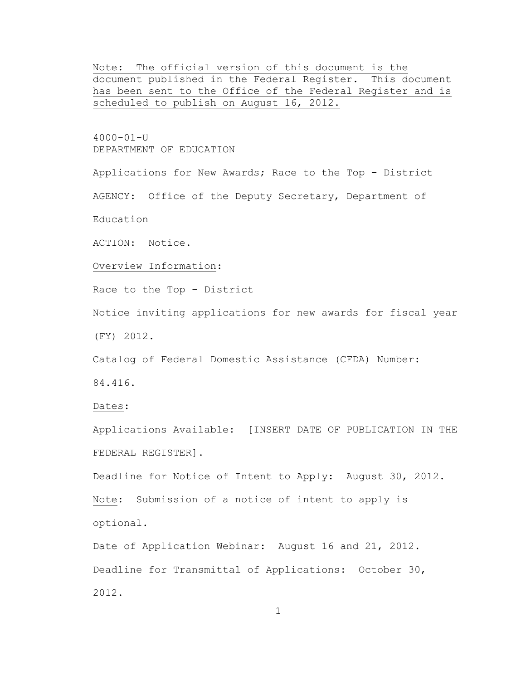Note: The official version of this document is the document published in the Federal Register. This document has been sent to the Office of the Federal Register and is scheduled to publish on August 16, 2012.

4000-01-U DEPARTMENT OF EDUCATION

Applications for New Awards; Race to the Top – District

AGENCY: Office of the Deputy Secretary, Department of

Education

ACTION: Notice.

Overview Information:

Race to the Top – District

Notice inviting applications for new awards for fiscal year

(FY) 2012.

Catalog of Federal Domestic Assistance (CFDA) Number: 84.416.

Dates:

Applications Available: [INSERT DATE OF PUBLICATION IN THE FEDERAL REGISTER].

Deadline for Notice of Intent to Apply: August 30, 2012. Note: Submission of a notice of intent to apply is optional.

Date of Application Webinar: August 16 and 21, 2012. Deadline for Transmittal of Applications: October 30, 2012.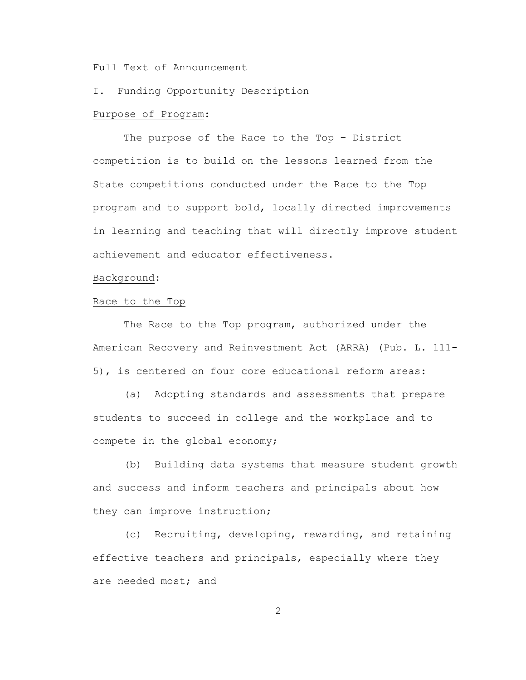Full Text of Announcement

I. Funding Opportunity Description

## Purpose of Program:

The purpose of the Race to the Top – District competition is to build on the lessons learned from the State competitions conducted under the Race to the Top program and to support bold, locally directed improvements in learning and teaching that will directly improve student achievement and educator effectiveness.

## Background:

### Race to the Top

The Race to the Top program, authorized under the American Recovery and Reinvestment Act (ARRA) (Pub. L. 111- 5), is centered on four core educational reform areas:

(a) Adopting standards and assessments that prepare students to succeed in college and the workplace and to compete in the global economy;

(b) Building data systems that measure student growth and success and inform teachers and principals about how they can improve instruction;

(c) Recruiting, developing, rewarding, and retaining effective teachers and principals, especially where they are needed most; and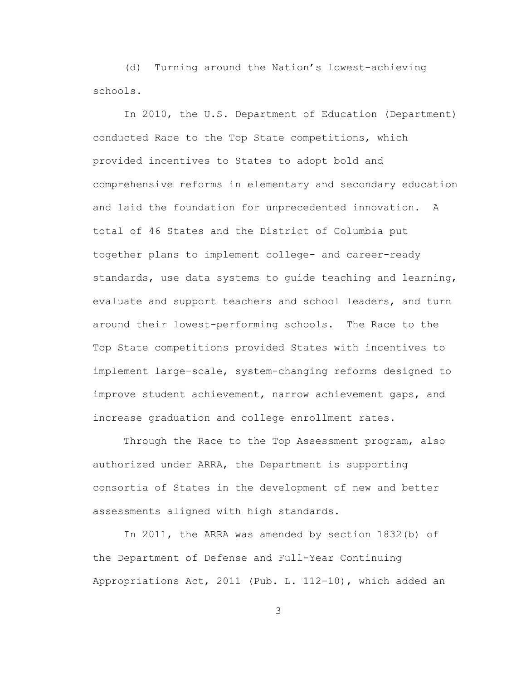(d) Turning around the Nation's lowest-achieving schools.

In 2010, the U.S. Department of Education (Department) conducted Race to the Top State competitions, which provided incentives to States to adopt bold and comprehensive reforms in elementary and secondary education and laid the foundation for unprecedented innovation. A total of 46 States and the District of Columbia put together plans to implement college- and career-ready standards, use data systems to guide teaching and learning, evaluate and support teachers and school leaders, and turn around their lowest-performing schools. The Race to the Top State competitions provided States with incentives to implement large-scale, system-changing reforms designed to improve student achievement, narrow achievement gaps, and increase graduation and college enrollment rates.

Through the Race to the Top Assessment program, also authorized under ARRA, the Department is supporting consortia of States in the development of new and better assessments aligned with high standards.

In 2011, the ARRA was amended by section 1832(b) of the Department of Defense and Full-Year Continuing Appropriations Act, 2011 (Pub. L. 112-10), which added an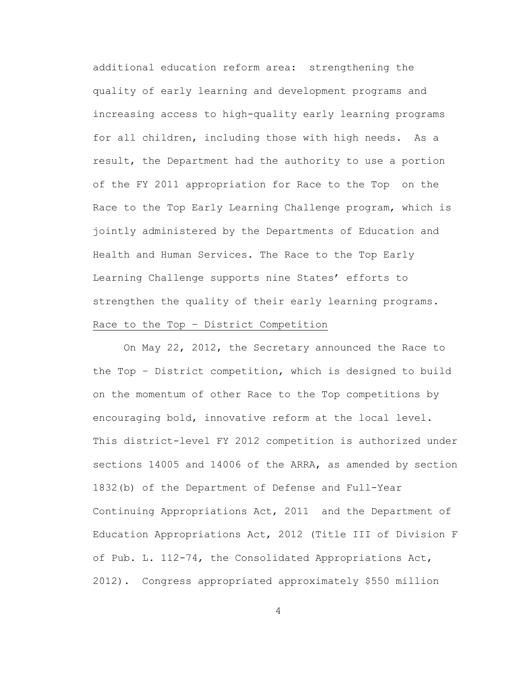additional education reform area: strengthening the quality of early learning and development programs and increasing access to high-quality early learning programs for all children, including those with high needs. As a result, the Department had the authority to use a portion of the FY 2011 appropriation for Race to the Top on the Race to the Top Early Learning Challenge program, which is jointly administered by the Departments of Education and Health and Human Services. The Race to the Top Early Learning Challenge supports nine States' efforts to strengthen the quality of their early learning programs. Race to the Top – District Competition

On May 22, 2012, the Secretary announced the Race to the Top – District competition, which is designed to build on the momentum of other Race to the Top competitions by encouraging bold, innovative reform at the local level. This district-level FY 2012 competition is authorized under sections 14005 and 14006 of the ARRA, as amended by section 1832(b) of the Department of Defense and Full-Year Continuing Appropriations Act, 2011 and the Department of Education Appropriations Act, 2012 (Title III of Division F of Pub. L. 112-74, the Consolidated Appropriations Act, 2012). Congress appropriated approximately \$550 million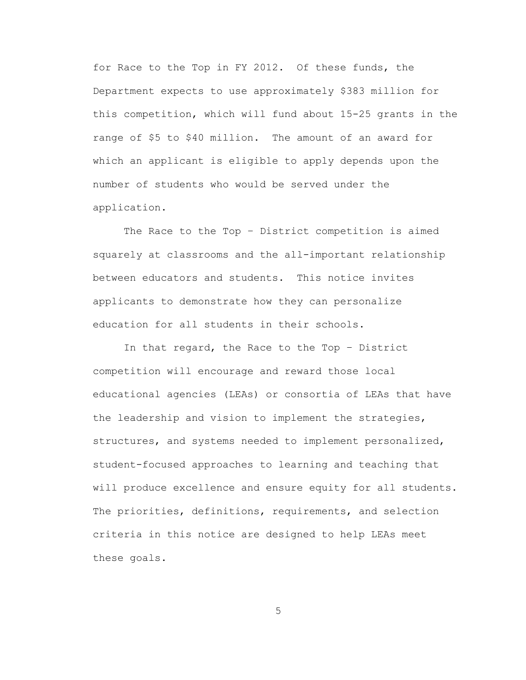for Race to the Top in FY 2012. Of these funds, the Department expects to use approximately \$383 million for this competition, which will fund about 15-25 grants in the range of \$5 to \$40 million. The amount of an award for which an applicant is eligible to apply depends upon the number of students who would be served under the application.

The Race to the Top – District competition is aimed squarely at classrooms and the all-important relationship between educators and students. This notice invites applicants to demonstrate how they can personalize education for all students in their schools.

In that regard, the Race to the Top – District competition will encourage and reward those local educational agencies (LEAs) or consortia of LEAs that have the leadership and vision to implement the strategies, structures, and systems needed to implement personalized, student-focused approaches to learning and teaching that will produce excellence and ensure equity for all students. The priorities, definitions, requirements, and selection criteria in this notice are designed to help LEAs meet these goals.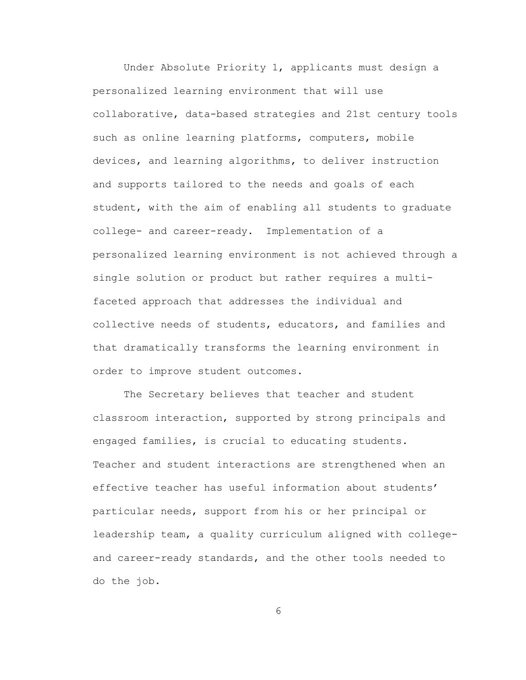Under Absolute Priority 1, applicants must design a personalized learning environment that will use collaborative, data-based strategies and 21st century tools such as online learning platforms, computers, mobile devices, and learning algorithms, to deliver instruction and supports tailored to the needs and goals of each student, with the aim of enabling all students to graduate college- and career-ready. Implementation of a personalized learning environment is not achieved through a single solution or product but rather requires a multifaceted approach that addresses the individual and collective needs of students, educators, and families and that dramatically transforms the learning environment in order to improve student outcomes.

The Secretary believes that teacher and student classroom interaction, supported by strong principals and engaged families, is crucial to educating students. Teacher and student interactions are strengthened when an effective teacher has useful information about students' particular needs, support from his or her principal or leadership team, a quality curriculum aligned with collegeand career-ready standards, and the other tools needed to do the job.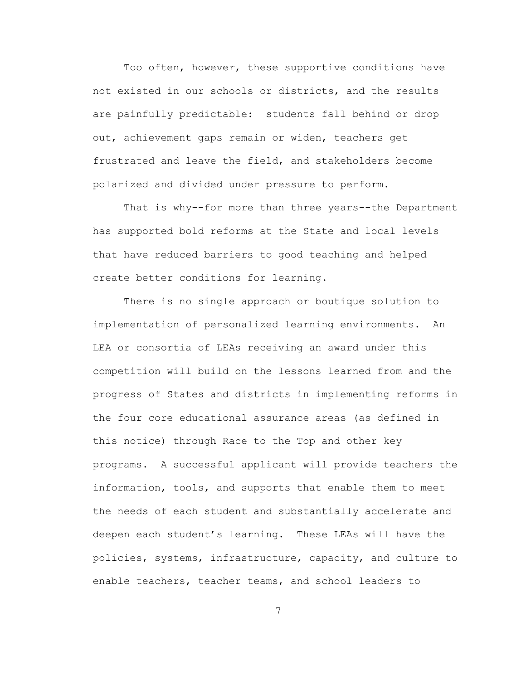Too often, however, these supportive conditions have not existed in our schools or districts, and the results are painfully predictable: students fall behind or drop out, achievement gaps remain or widen, teachers get frustrated and leave the field, and stakeholders become polarized and divided under pressure to perform.

That is why--for more than three years--the Department has supported bold reforms at the State and local levels that have reduced barriers to good teaching and helped create better conditions for learning.

There is no single approach or boutique solution to implementation of personalized learning environments. An LEA or consortia of LEAs receiving an award under this competition will build on the lessons learned from and the progress of States and districts in implementing reforms in the four core educational assurance areas (as defined in this notice) through Race to the Top and other key programs. A successful applicant will provide teachers the information, tools, and supports that enable them to meet the needs of each student and substantially accelerate and deepen each student's learning. These LEAs will have the policies, systems, infrastructure, capacity, and culture to enable teachers, teacher teams, and school leaders to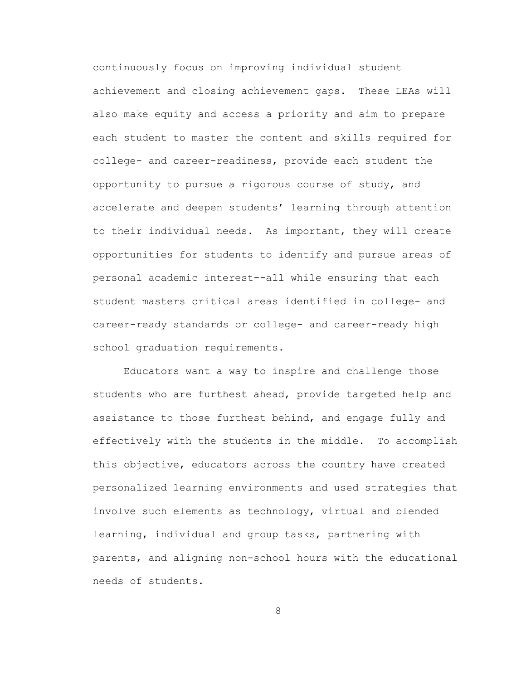continuously focus on improving individual student achievement and closing achievement gaps. These LEAs will also make equity and access a priority and aim to prepare each student to master the content and skills required for college- and career-readiness, provide each student the opportunity to pursue a rigorous course of study, and accelerate and deepen students' learning through attention to their individual needs. As important, they will create opportunities for students to identify and pursue areas of personal academic interest--all while ensuring that each student masters critical areas identified in college- and career-ready standards or college- and career-ready high school graduation requirements.

Educators want a way to inspire and challenge those students who are furthest ahead, provide targeted help and assistance to those furthest behind, and engage fully and effectively with the students in the middle. To accomplish this objective, educators across the country have created personalized learning environments and used strategies that involve such elements as technology, virtual and blended learning, individual and group tasks, partnering with parents, and aligning non-school hours with the educational needs of students.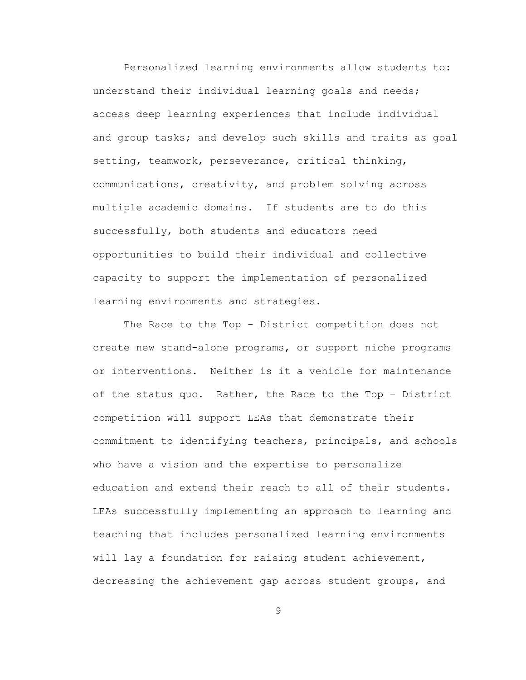Personalized learning environments allow students to: understand their individual learning goals and needs; access deep learning experiences that include individual and group tasks; and develop such skills and traits as goal setting, teamwork, perseverance, critical thinking, communications, creativity, and problem solving across multiple academic domains. If students are to do this successfully, both students and educators need opportunities to build their individual and collective capacity to support the implementation of personalized learning environments and strategies.

The Race to the Top – District competition does not create new stand-alone programs, or support niche programs or interventions. Neither is it a vehicle for maintenance of the status quo. Rather, the Race to the Top – District competition will support LEAs that demonstrate their commitment to identifying teachers, principals, and schools who have a vision and the expertise to personalize education and extend their reach to all of their students. LEAs successfully implementing an approach to learning and teaching that includes personalized learning environments will lay a foundation for raising student achievement, decreasing the achievement gap across student groups, and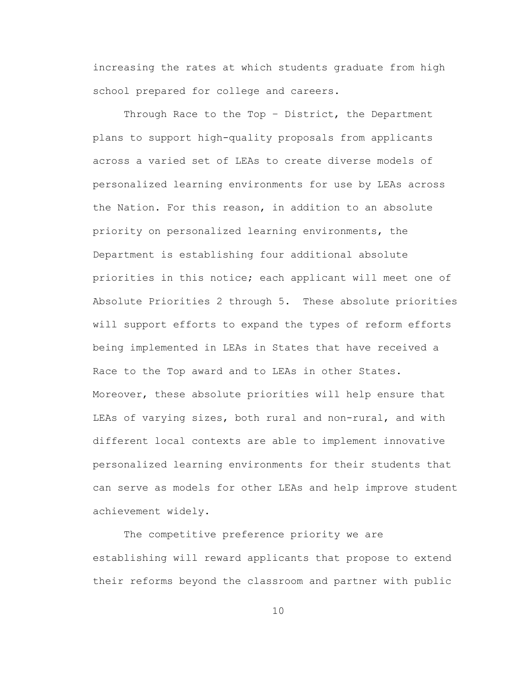increasing the rates at which students graduate from high school prepared for college and careers.

Through Race to the Top - District, the Department plans to support high-quality proposals from applicants across a varied set of LEAs to create diverse models of personalized learning environments for use by LEAs across the Nation. For this reason, in addition to an absolute priority on personalized learning environments, the Department is establishing four additional absolute priorities in this notice; each applicant will meet one of Absolute Priorities 2 through 5. These absolute priorities will support efforts to expand the types of reform efforts being implemented in LEAs in States that have received a Race to the Top award and to LEAs in other States. Moreover, these absolute priorities will help ensure that LEAs of varying sizes, both rural and non-rural, and with different local contexts are able to implement innovative personalized learning environments for their students that can serve as models for other LEAs and help improve student achievement widely.

The competitive preference priority we are establishing will reward applicants that propose to extend their reforms beyond the classroom and partner with public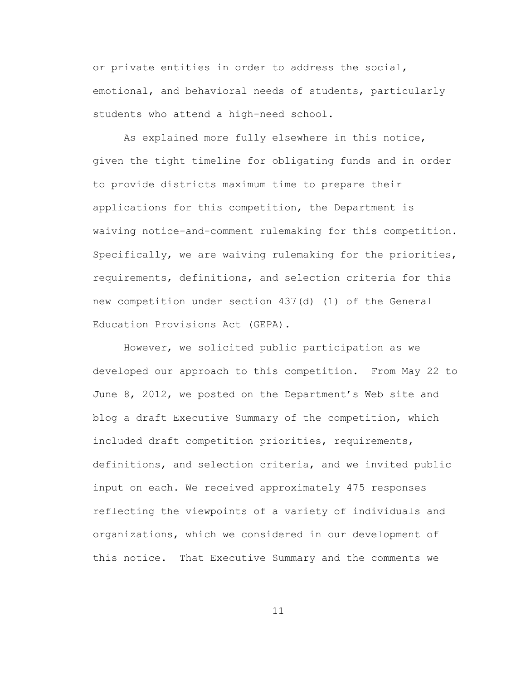or private entities in order to address the social, emotional, and behavioral needs of students, particularly students who attend a high-need school.

As explained more fully elsewhere in this notice, given the tight timeline for obligating funds and in order to provide districts maximum time to prepare their applications for this competition, the Department is waiving notice-and-comment rulemaking for this competition. Specifically, we are waiving rulemaking for the priorities, requirements, definitions, and selection criteria for this new competition under section 437(d) (1) of the General Education Provisions Act (GEPA).

However, we solicited public participation as we developed our approach to this competition. From May 22 to June 8, 2012, we posted on the Department's Web site and blog a draft Executive Summary of the competition, which included draft competition priorities, requirements, definitions, and selection criteria, and we invited public input on each. We received approximately 475 responses reflecting the viewpoints of a variety of individuals and organizations, which we considered in our development of this notice. That Executive Summary and the comments we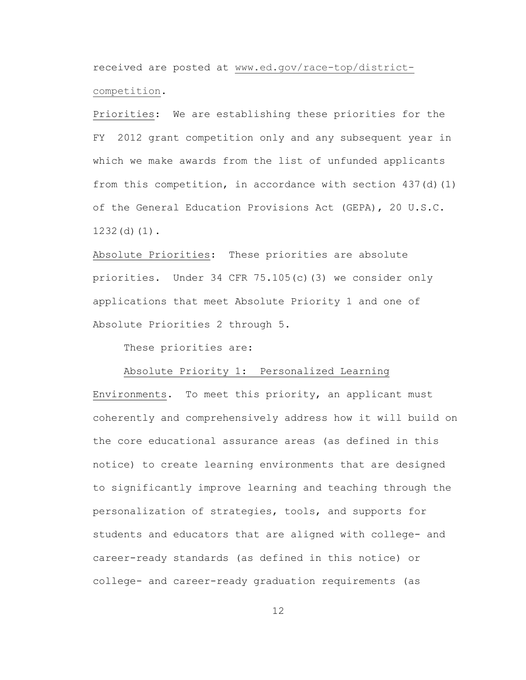received are posted at [www.ed.gov/race-top/district](file:///C:/Users/danberg_n/AppData/Local/Microsoft/Windows/Temporary%20Internet%20Files/Content.Outlook/AppData/Local/Microsoft/Windows/Temporary%20Internet%20Files/Downloads/www.ed.gov/race-top/district-competition)[competition.](file:///C:/Users/danberg_n/AppData/Local/Microsoft/Windows/Temporary%20Internet%20Files/Content.Outlook/AppData/Local/Microsoft/Windows/Temporary%20Internet%20Files/Downloads/www.ed.gov/race-top/district-competition)

Priorities: We are establishing these priorities for the FY 2012 grant competition only and any subsequent year in which we make awards from the list of unfunded applicants from this competition, in accordance with section 437(d)(1) of the General Education Provisions Act (GEPA), 20 U.S.C. 1232(d)(1).

Absolute Priorities: These priorities are absolute priorities. Under 34 CFR 75.105(c)(3) we consider only applications that meet Absolute Priority 1 and one of Absolute Priorities 2 through 5.

These priorities are:

## Absolute Priority 1: Personalized Learning

Environments. To meet this priority, an applicant must coherently and comprehensively address how it will build on the core educational assurance areas (as defined in this notice) to create learning environments that are designed to significantly improve learning and teaching through the personalization of strategies, tools, and supports for students and educators that are aligned with college- and career-ready standards (as defined in this notice) or college- and career-ready graduation requirements (as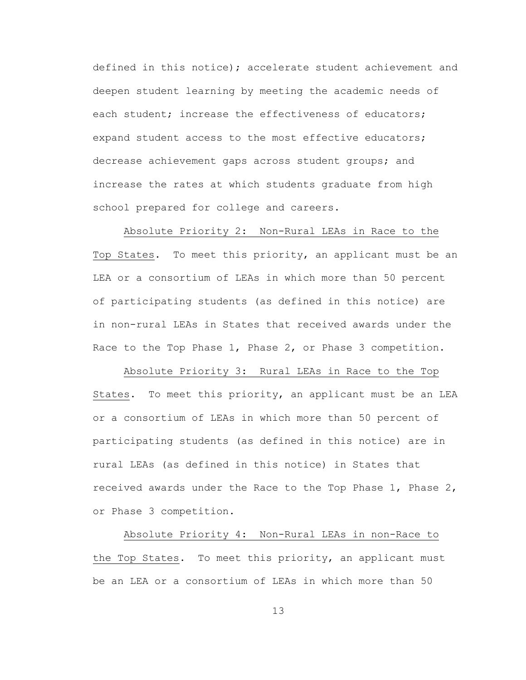defined in this notice); accelerate student achievement and deepen student learning by meeting the academic needs of each student; increase the effectiveness of educators; expand student access to the most effective educators; decrease achievement gaps across student groups; and increase the rates at which students graduate from high school prepared for college and careers.

Absolute Priority 2: Non-Rural LEAs in Race to the Top States.To meet this priority, an applicant must be an LEA or a consortium of LEAs in which more than 50 percent of participating students (as defined in this notice) are in non-rural LEAs in States that received awards under the Race to the Top Phase 1, Phase 2, or Phase 3 competition.

Absolute Priority 3: Rural LEAs in Race to the Top States. To meet this priority, an applicant must be an LEA or a consortium of LEAs in which more than 50 percent of participating students (as defined in this notice) are in rural LEAs (as defined in this notice) in States that received awards under the Race to the Top Phase  $1$ , Phase  $2$ , or Phase 3 competition.

Absolute Priority 4: Non-Rural LEAs in non-Race to the Top States.To meet this priority, an applicant must be an LEA or a consortium of LEAs in which more than 50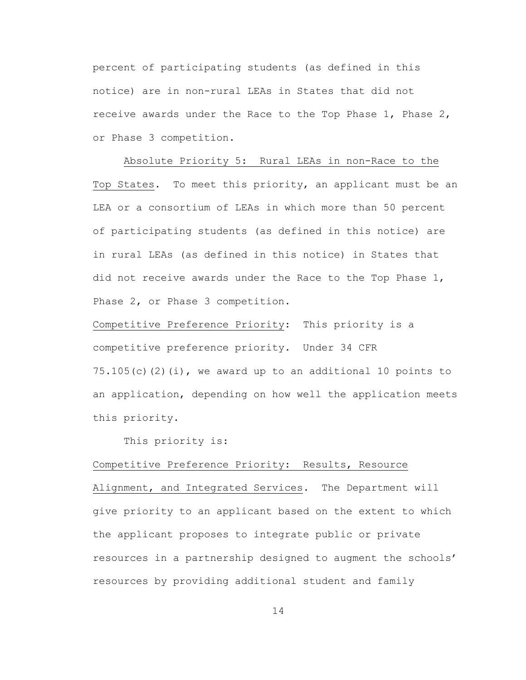percent of participating students (as defined in this notice) are in non-rural LEAs in States that did not receive awards under the Race to the Top Phase 1, Phase 2, or Phase 3 competition.

Absolute Priority 5: Rural LEAs in non-Race to the Top States. To meet this priority, an applicant must be an LEA or a consortium of LEAs in which more than 50 percent of participating students (as defined in this notice) are in rural LEAs (as defined in this notice) in States that did not receive awards under the Race to the Top Phase 1, Phase 2, or Phase 3 competition.

Competitive Preference Priority: This priority is a competitive preference priority. Under 34 CFR  $75.105(c)(2)(i)$ , we award up to an additional 10 points to an application, depending on how well the application meets this priority.

This priority is:

#### Competitive Preference Priority: Results, Resource

Alignment, and Integrated Services.The Department will give priority to an applicant based on the extent to which the applicant proposes to integrate public or private resources in a partnership designed to augment the schools' resources by providing additional student and family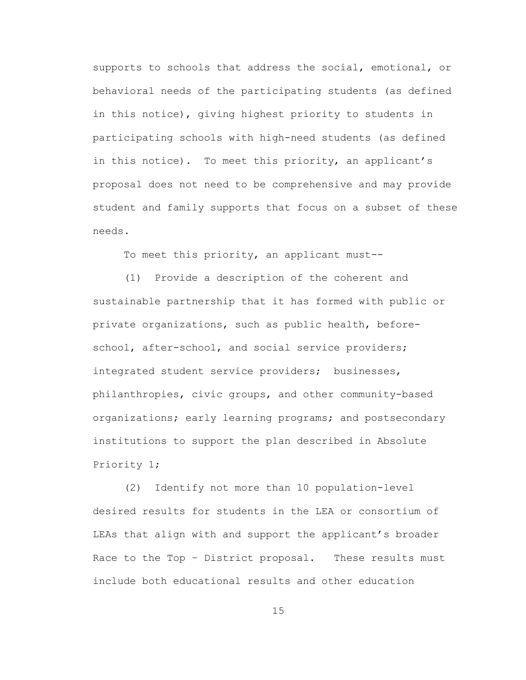supports to schools that address the social, emotional, or behavioral needs of the participating students (as defined in this notice), giving highest priority to students in participating schools with high-need students (as defined in this notice). To meet this priority, an applicant's proposal does not need to be comprehensive and may provide student and family supports that focus on a subset of these needs.

To meet this priority, an applicant must--

(1) Provide a description of the coherent and sustainable partnership that it has formed with public or private organizations, such as public health, beforeschool, after-school, and social service providers; integrated student service providers; businesses, philanthropies, civic groups, and other community-based organizations; early learning programs; and postsecondary institutions to support the plan described in Absolute Priority 1;

(2) Identify not more than 10 population-level desired results for students in the LEA or consortium of LEAs that align with and support the applicant's broader Race to the Top – District proposal. These results must include both educational results and other education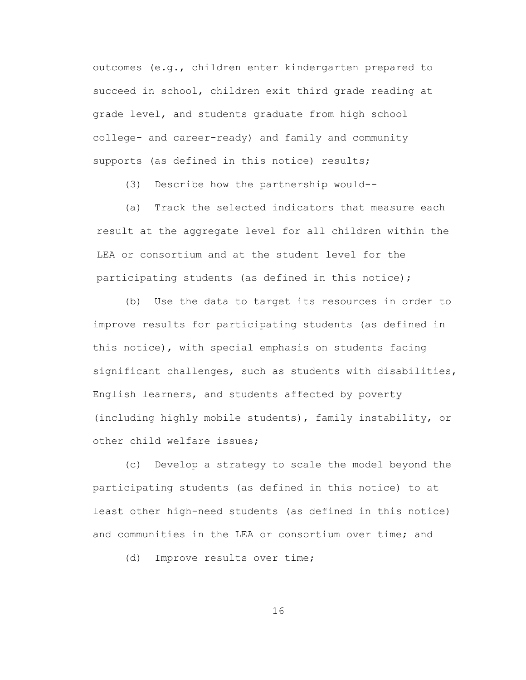outcomes (e.g., children enter kindergarten prepared to succeed in school, children exit third grade reading at grade level, and students graduate from high school college- and career-ready) and family and community supports (as defined in this notice) results;

(3) Describe how the partnership would--

(a) Track the selected indicators that measure each result at the aggregate level for all children within the LEA or consortium and at the student level for the participating students (as defined in this notice);

(b) Use the data to target its resources in order to improve results for participating students (as defined in this notice), with special emphasis on students facing significant challenges, such as students with disabilities, English learners, and students affected by poverty (including highly mobile students), family instability, or other child welfare issues;

(c) Develop a strategy to scale the model beyond the participating students (as defined in this notice) to at least other high-need students (as defined in this notice) and communities in the LEA or consortium over time; and

(d) Improve results over time;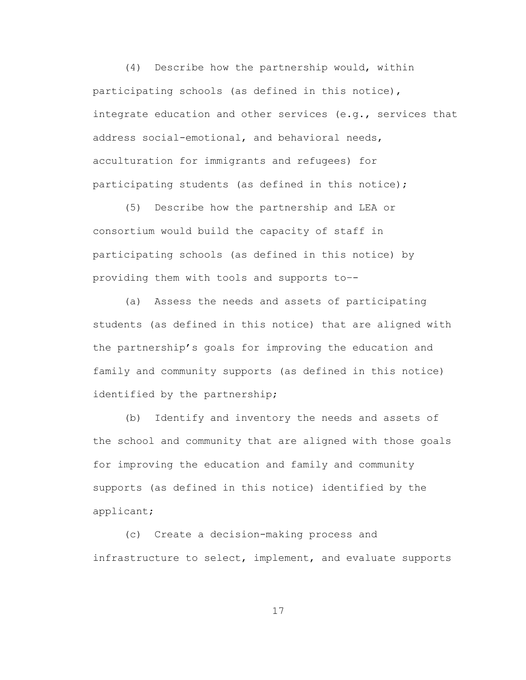(4) Describe how the partnership would, within participating schools (as defined in this notice), integrate education and other services (e.g., services that address social-emotional, and behavioral needs, acculturation for immigrants and refugees) for participating students (as defined in this notice);

(5) Describe how the partnership and LEA or consortium would build the capacity of staff in participating schools (as defined in this notice) by providing them with tools and supports to–-

(a) Assess the needs and assets of participating students (as defined in this notice) that are aligned with the partnership's goals for improving the education and family and community supports (as defined in this notice) identified by the partnership;

(b) Identify and inventory the needs and assets of the school and community that are aligned with those goals for improving the education and family and community supports (as defined in this notice) identified by the applicant;

(c) Create a decision-making process and infrastructure to select, implement, and evaluate supports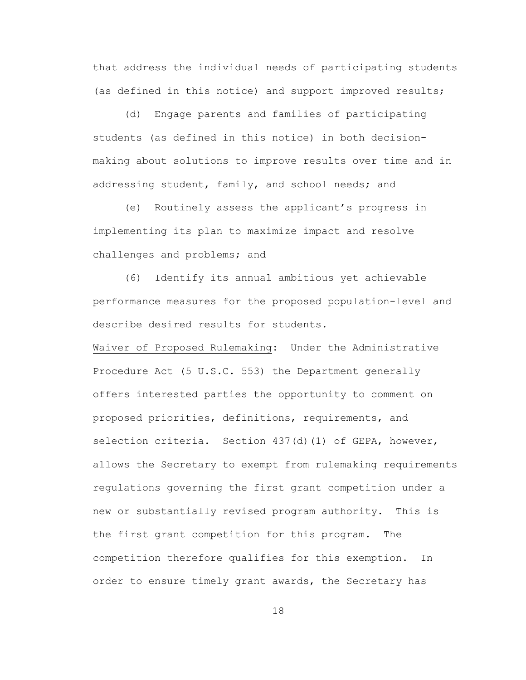that address the individual needs of participating students (as defined in this notice) and support improved results;

(d) Engage parents and families of participating students (as defined in this notice) in both decisionmaking about solutions to improve results over time and in addressing student, family, and school needs; and

(e) Routinely assess the applicant's progress in implementing its plan to maximize impact and resolve challenges and problems; and

(6) Identify its annual ambitious yet achievable performance measures for the proposed population-level and describe desired results for students.

Waiver of Proposed Rulemaking: Under the Administrative Procedure Act (5 U.S.C. 553) the Department generally offers interested parties the opportunity to comment on proposed priorities, definitions, requirements, and selection criteria. Section 437(d)(1) of GEPA, however, allows the Secretary to exempt from rulemaking requirements regulations governing the first grant competition under a new or substantially revised program authority. This is the first grant competition for this program. The competition therefore qualifies for this exemption. In order to ensure timely grant awards, the Secretary has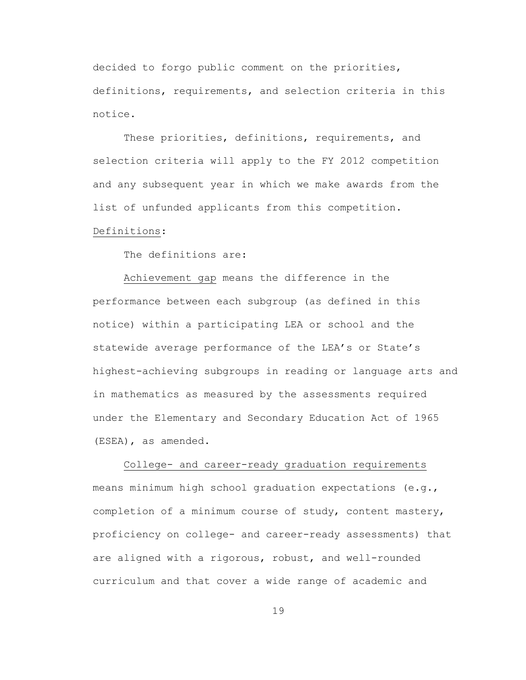decided to forgo public comment on the priorities, definitions, requirements, and selection criteria in this notice.

These priorities, definitions, requirements, and selection criteria will apply to the FY 2012 competition and any subsequent year in which we make awards from the list of unfunded applicants from this competition.

## Definitions:

The definitions are:

Achievement gap means the difference in the performance between each subgroup (as defined in this notice) within a participating LEA or school and the statewide average performance of the LEA's or State's highest-achieving subgroups in reading or language arts and in mathematics as measured by the assessments required under the Elementary and Secondary Education Act of 1965 (ESEA), as amended.

College- and career-ready graduation requirements means minimum high school graduation expectations (e.g., completion of a minimum course of study, content mastery, proficiency on college- and career-ready assessments) that are aligned with a rigorous, robust, and well-rounded curriculum and that cover a wide range of academic and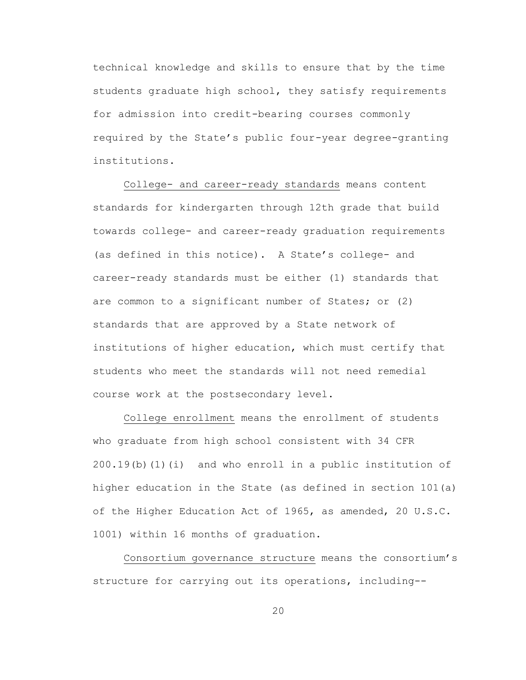technical knowledge and skills to ensure that by the time students graduate high school, they satisfy requirements for admission into credit-bearing courses commonly required by the State's public four-year degree-granting institutions.

College- and career-ready standards means content standards for kindergarten through 12th grade that build towards college- and career-ready graduation requirements (as defined in this notice). A State's college- and career-ready standards must be either (1) standards that are common to a significant number of States; or (2) standards that are approved by a State network of institutions of higher education, which must certify that students who meet the standards will not need remedial course work at the postsecondary level.

College enrollment means the enrollment of students who graduate from high school consistent with 34 CFR  $200.19(b)$  (1) (i) and who enroll in a public institution of higher education in the State (as defined in section 101(a) of the Higher Education Act of 1965, as amended, 20 U.S.C. 1001) within 16 months of graduation.

Consortium governance structure means the consortium's structure for carrying out its operations, including--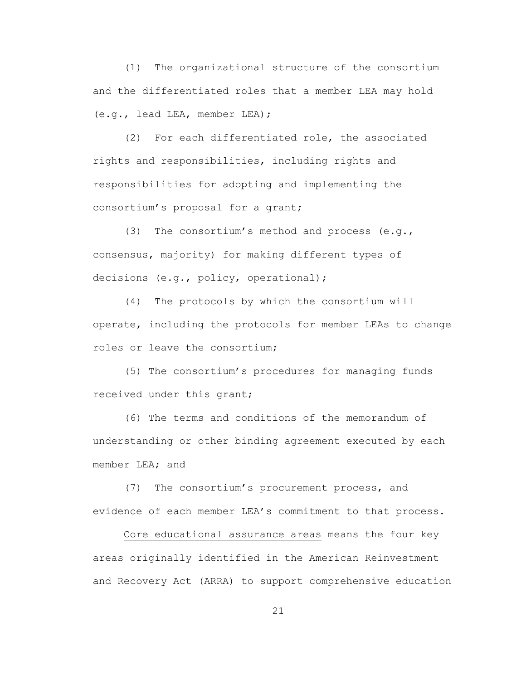(1) The organizational structure of the consortium and the differentiated roles that a member LEA may hold (e.g., lead LEA, member LEA);

(2) For each differentiated role, the associated rights and responsibilities, including rights and responsibilities for adopting and implementing the consortium's proposal for a grant;

(3) The consortium's method and process (e.g., consensus, majority) for making different types of decisions (e.g., policy, operational);

(4) The protocols by which the consortium will operate, including the protocols for member LEAs to change roles or leave the consortium;

(5) The consortium's procedures for managing funds received under this grant;

(6) The terms and conditions of the memorandum of understanding or other binding agreement executed by each member LEA; and

(7) The consortium's procurement process, and evidence of each member LEA's commitment to that process.

Core educational assurance areas means the four key areas originally identified in the American Reinvestment and Recovery Act (ARRA) to support comprehensive education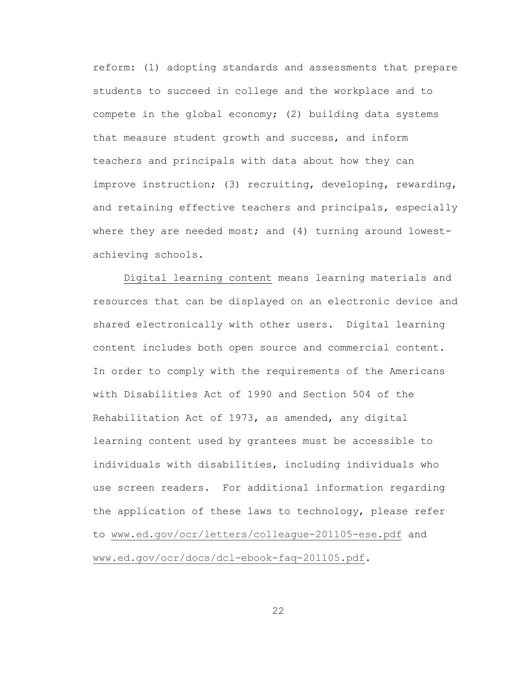reform: (1) adopting standards and assessments that prepare students to succeed in college and the workplace and to compete in the global economy; (2) building data systems that measure student growth and success, and inform teachers and principals with data about how they can improve instruction; (3) recruiting, developing, rewarding, and retaining effective teachers and principals, especially where they are needed most; and (4) turning around lowestachieving schools.

Digital learning content means learning materials and resources that can be displayed on an electronic device and shared electronically with other users. Digital learning content includes both open source and commercial content. In order to comply with the requirements of the Americans with Disabilities Act of 1990 and Section 504 of the Rehabilitation Act of 1973, as amended, any digital learning content used by grantees must be accessible to individuals with disabilities, including individuals who use screen readers. For additional information regarding the application of these laws to technology, please refer to [www.ed.gov/ocr/letters/colleague-201105-ese.pdf](http://www.ed.gov/ocr/letters/colleague-201105-ese.pdf) and [www.ed.gov/ocr/docs/dcl-ebook-faq-201105.pdf.](http://www.ed.gov/ocr/docs/dcl-ebook-faq-201105.pdf)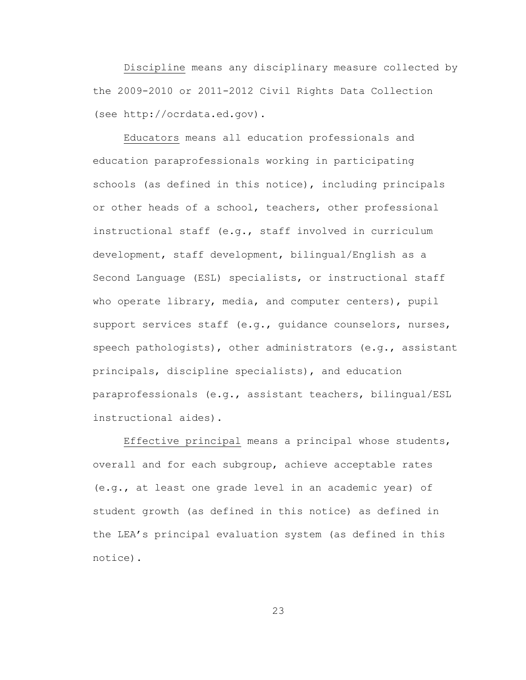Discipline means any disciplinary measure collected by the 2009-2010 or 2011-2012 Civil Rights Data Collection (see http://ocrdata.ed.gov).

Educators means all education professionals and education paraprofessionals working in participating schools (as defined in this notice), including principals or other heads of a school, teachers, other professional instructional staff (e.g., staff involved in curriculum development, staff development, bilingual/English as a Second Language (ESL) specialists, or instructional staff who operate library, media, and computer centers), pupil support services staff (e.g., guidance counselors, nurses, speech pathologists), other administrators (e.g., assistant principals, discipline specialists), and education paraprofessionals (e.g., assistant teachers, bilingual/ESL instructional aides).

Effective principal means a principal whose students, overall and for each subgroup, achieve acceptable rates (e.g., at least one grade level in an academic year) of student growth (as defined in this notice) as defined in the LEA's principal evaluation system (as defined in this notice).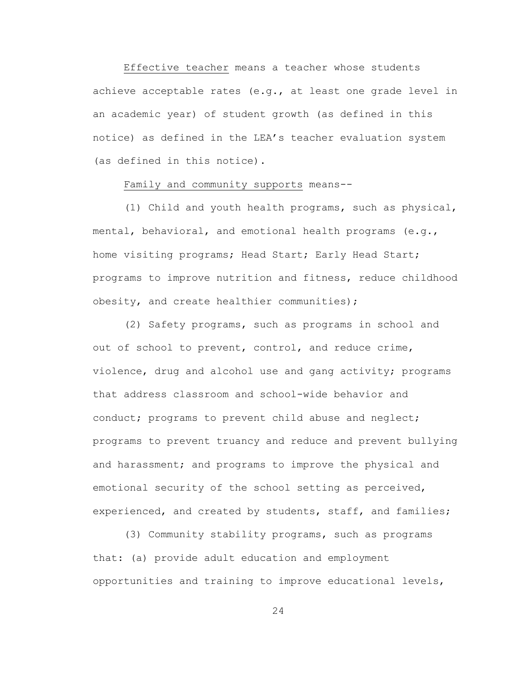Effective teacher means a teacher whose students achieve acceptable rates (e.g., at least one grade level in an academic year) of student growth (as defined in this notice) as defined in the LEA's teacher evaluation system (as defined in this notice).

## Family and community supports means--

(1) Child and youth health programs, such as physical, mental, behavioral, and emotional health programs (e.g., home visiting programs; Head Start; Early Head Start; programs to improve nutrition and fitness, reduce childhood obesity, and create healthier communities);

(2) Safety programs, such as programs in school and out of school to prevent, control, and reduce crime, violence, drug and alcohol use and gang activity; programs that address classroom and school-wide behavior and conduct; programs to prevent child abuse and neglect; programs to prevent truancy and reduce and prevent bullying and harassment; and programs to improve the physical and emotional security of the school setting as perceived, experienced, and created by students, staff, and families;

(3) Community stability programs, such as programs that: (a) provide adult education and employment opportunities and training to improve educational levels,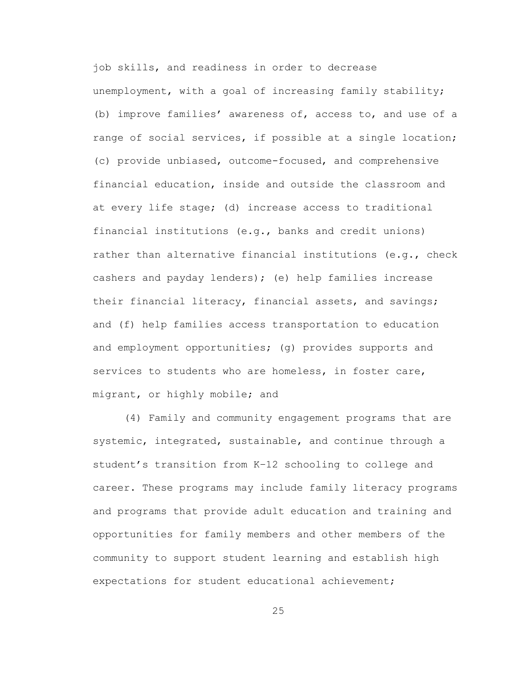job skills, and readiness in order to decrease unemployment, with a goal of increasing family stability; (b) improve families' awareness of, access to, and use of a range of social services, if possible at a single location; (c) provide unbiased, outcome-focused, and comprehensive financial education, inside and outside the classroom and at every life stage; (d) increase access to traditional financial institutions (e.g., banks and credit unions) rather than alternative financial institutions (e.g., check cashers and payday lenders); (e) help families increase their financial literacy, financial assets, and savings; and (f) help families access transportation to education and employment opportunities; (g) provides supports and services to students who are homeless, in foster care, migrant, or highly mobile; and

(4) Family and community engagement programs that are systemic, integrated, sustainable, and continue through a student's transition from K–12 schooling to college and career. These programs may include family literacy programs and programs that provide adult education and training and opportunities for family members and other members of the community to support student learning and establish high expectations for student educational achievement;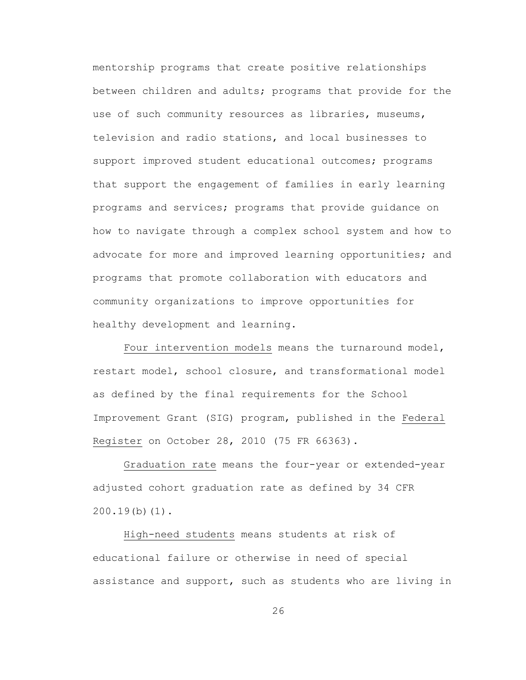mentorship programs that create positive relationships between children and adults; programs that provide for the use of such community resources as libraries, museums, television and radio stations, and local businesses to support improved student educational outcomes; programs that support the engagement of families in early learning programs and services; programs that provide guidance on how to navigate through a complex school system and how to advocate for more and improved learning opportunities; and programs that promote collaboration with educators and community organizations to improve opportunities for healthy development and learning.

Four intervention models means the turnaround model, restart model, school closure, and transformational model as defined by the final requirements for the School Improvement Grant (SIG) program, published in the Federal Register on October 28, 2010 (75 FR 66363).

Graduation rate means the four-year or extended-year adjusted cohort graduation rate as defined by 34 CFR 200.19(b)(1).

High-need students means students at risk of educational failure or otherwise in need of special assistance and support, such as students who are living in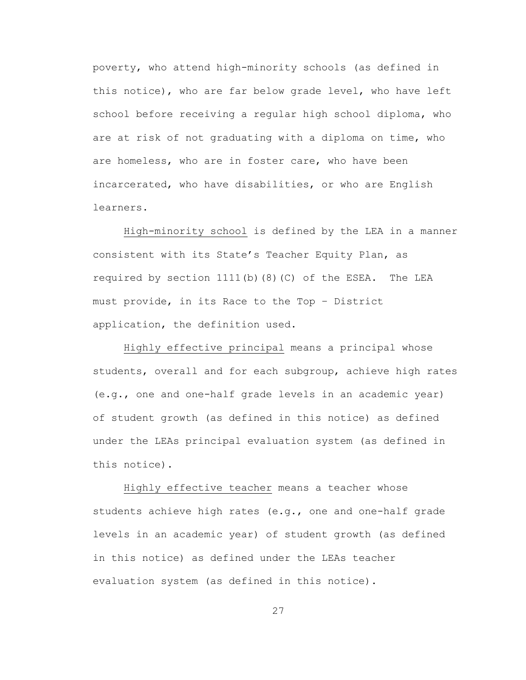poverty, who attend high-minority schools (as defined in this notice), who are far below grade level, who have left school before receiving a regular high school diploma, who are at risk of not graduating with a diploma on time, who are homeless, who are in foster care, who have been incarcerated, who have disabilities, or who are English learners.

High-minority school is defined by the LEA in a manner consistent with its State's Teacher Equity Plan, as required by section 1111(b)(8)(C) of the ESEA. The LEA must provide, in its Race to the Top – District application, the definition used.

Highly effective principal means a principal whose students, overall and for each subgroup, achieve high rates (e.g., one and one-half grade levels in an academic year) of student growth (as defined in this notice) as defined under the LEAs principal evaluation system (as defined in this notice).

Highly effective teacher means a teacher whose students achieve high rates (e.g., one and one-half grade levels in an academic year) of student growth (as defined in this notice) as defined under the LEAs teacher evaluation system (as defined in this notice).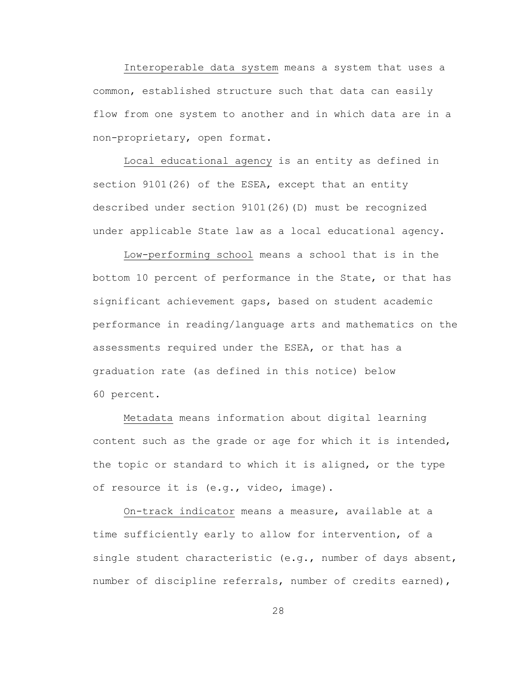Interoperable data system means a system that uses a common, established structure such that data can easily flow from one system to another and in which data are in a non-proprietary, open format.

Local educational agency is an entity as defined in section 9101(26) of the ESEA, except that an entity described under section 9101(26)(D) must be recognized under applicable State law as a local educational agency.

Low-performing school means a school that is in the bottom 10 percent of performance in the State, or that has significant achievement gaps, based on student academic performance in reading/language arts and mathematics on the assessments required under the ESEA, or that has a graduation rate (as defined in this notice) below 60 percent.

Metadata means information about digital learning content such as the grade or age for which it is intended, the topic or standard to which it is aligned, or the type of resource it is (e.g., video, image).

On-track indicator means a measure, available at a time sufficiently early to allow for intervention, of a single student characteristic (e.g., number of days absent, number of discipline referrals, number of credits earned),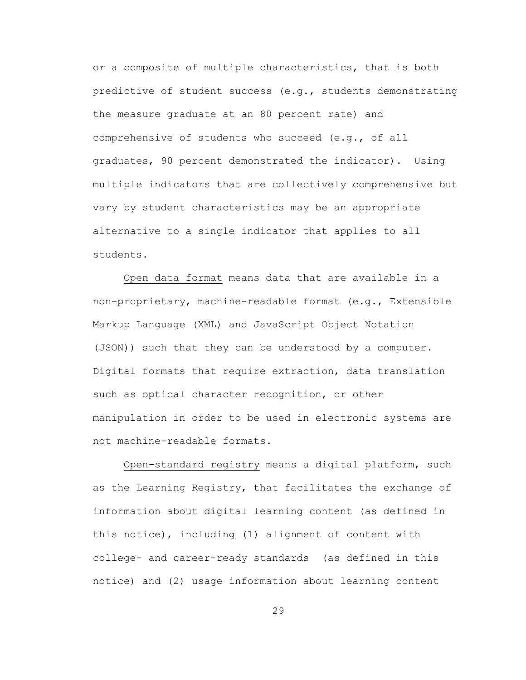or a composite of multiple characteristics, that is both predictive of student success (e.g., students demonstrating the measure graduate at an 80 percent rate) and comprehensive of students who succeed (e.g., of all graduates, 90 percent demonstrated the indicator). Using multiple indicators that are collectively comprehensive but vary by student characteristics may be an appropriate alternative to a single indicator that applies to all students.

Open data format means data that are available in a non-proprietary, machine-readable format (e.g., Extensible Markup Language (XML) and JavaScript Object Notation (JSON)) such that they can be understood by a computer. Digital formats that require extraction, data translation such as optical character recognition, or other manipulation in order to be used in electronic systems are not machine-readable formats.

Open-standard registry means a digital platform, such as the Learning Registry, that facilitates the exchange of information about digital learning content (as defined in this notice), including (1) alignment of content with college- and career-ready standards (as defined in this notice) and (2) usage information about learning content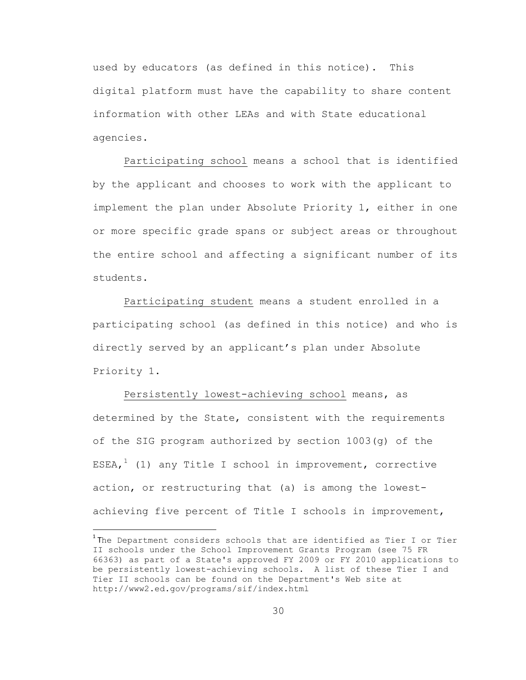used by educators (as defined in this notice). This digital platform must have the capability to share content information with other LEAs and with State educational agencies.

Participating school means a school that is identified by the applicant and chooses to work with the applicant to implement the plan under Absolute Priority 1, either in one or more specific grade spans or subject areas or throughout the entire school and affecting a significant number of its students.

Participating student means a student enrolled in a participating school (as defined in this notice) and who is directly served by an applicant's plan under Absolute Priority 1.

Persistently lowest-achieving school means, as determined by the State, consistent with the requirements of the SIG program authorized by section 1003(g) of the ESEA,<sup>1</sup> (1) any Title I school in improvement, corrective action, or restructuring that (a) is among the lowestachieving five percent of Title I schools in improvement,

 $\overline{\phantom{a}}$ 

 $^{\rm 1}$ The Department considers schools that are identified as Tier I or Tier II schools under the School Improvement Grants Program (see 75 FR 66363) as part of a State's approved FY 2009 or FY 2010 applications to be persistently lowest-achieving schools. A list of these Tier I and Tier II schools can be found on the Department's Web site at http://www2.ed.gov/programs/sif/index.html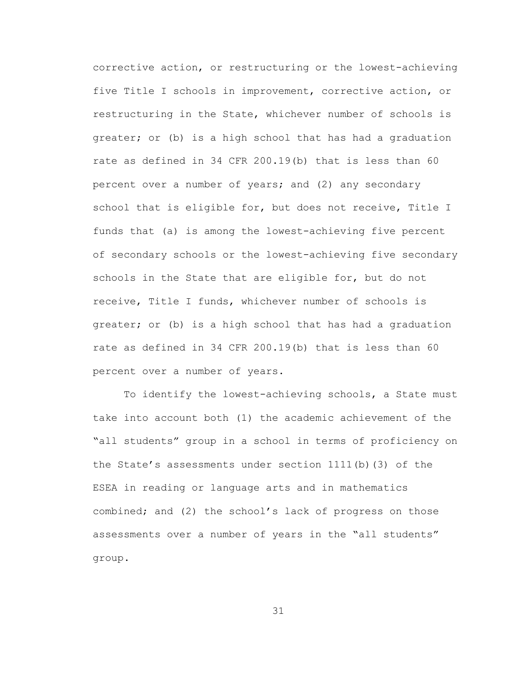corrective action, or restructuring or the lowest-achieving five Title I schools in improvement, corrective action, or restructuring in the State, whichever number of schools is greater; or (b) is a high school that has had a graduation rate as defined in 34 CFR 200.19(b) that is less than 60 percent over a number of years; and (2) any secondary school that is eligible for, but does not receive, Title I funds that (a) is among the lowest-achieving five percent of secondary schools or the lowest-achieving five secondary schools in the State that are eligible for, but do not receive, Title I funds, whichever number of schools is greater; or (b) is a high school that has had a graduation rate as defined in 34 CFR 200.19(b) that is less than 60 percent over a number of years.

To identify the lowest-achieving schools, a State must take into account both (1) the academic achievement of the "all students" group in a school in terms of proficiency on the State's assessments under section 1111(b)(3) of the ESEA in reading or language arts and in mathematics combined; and (2) the school's lack of progress on those assessments over a number of years in the "all students" group.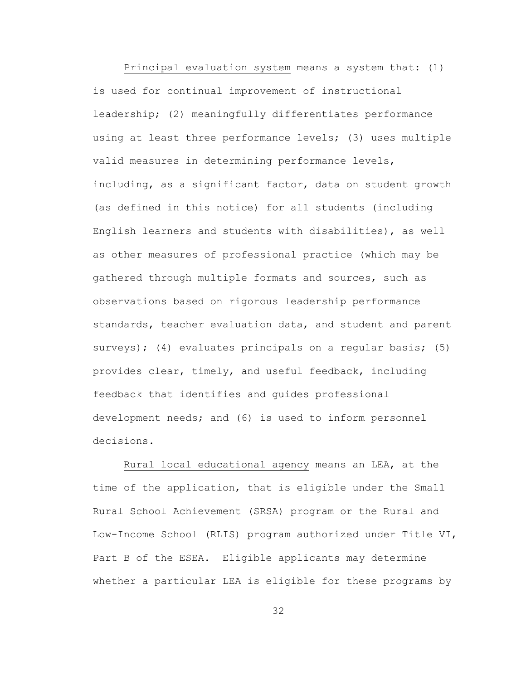Principal evaluation system means a system that: (1) is used for continual improvement of instructional leadership; (2) meaningfully differentiates performance using at least three performance levels; (3) uses multiple valid measures in determining performance levels, including, as a significant factor, data on student growth (as defined in this notice) for all students (including English learners and students with disabilities), as well as other measures of professional practice (which may be gathered through multiple formats and sources, such as observations based on rigorous leadership performance standards, teacher evaluation data, and student and parent surveys); (4) evaluates principals on a regular basis; (5) provides clear, timely, and useful feedback, including feedback that identifies and guides professional development needs; and (6) is used to inform personnel decisions.

Rural local educational agency means an LEA, at the time of the application, that is eligible under the Small Rural School Achievement (SRSA) program or the Rural and Low-Income School (RLIS) program authorized under Title VI, Part B of the ESEA. Eligible applicants may determine whether a particular LEA is eligible for these programs by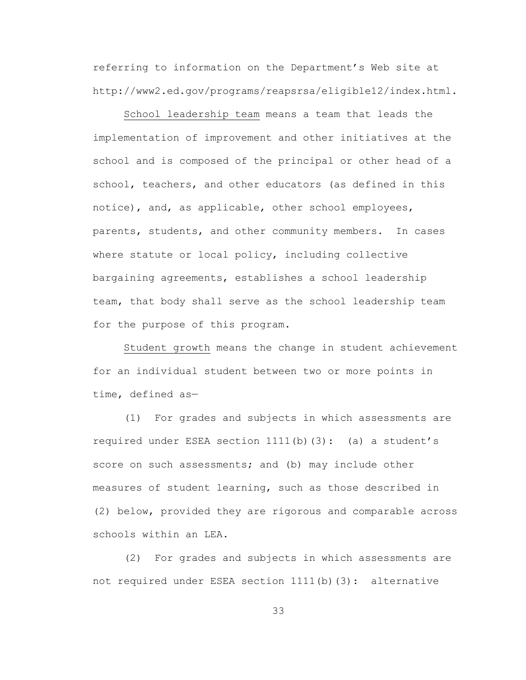referring to information on the Department's Web site at http://www2.ed.gov/programs/reapsrsa/eligible12/index.html.

School leadership team means a team that leads the implementation of improvement and other initiatives at the school and is composed of the principal or other head of a school, teachers, and other educators (as defined in this notice), and, as applicable, other school employees, parents, students, and other community members. In cases where statute or local policy, including collective bargaining agreements, establishes a school leadership team, that body shall serve as the school leadership team for the purpose of this program.

Student growth means the change in student achievement for an individual student between two or more points in time, defined as—

(1) For grades and subjects in which assessments are required under ESEA section  $1111(b)(3)$ : (a) a student's score on such assessments; and (b) may include other measures of student learning, such as those described in (2) below, provided they are rigorous and comparable across schools within an LEA.

(2) For grades and subjects in which assessments are not required under ESEA section 1111(b)(3): alternative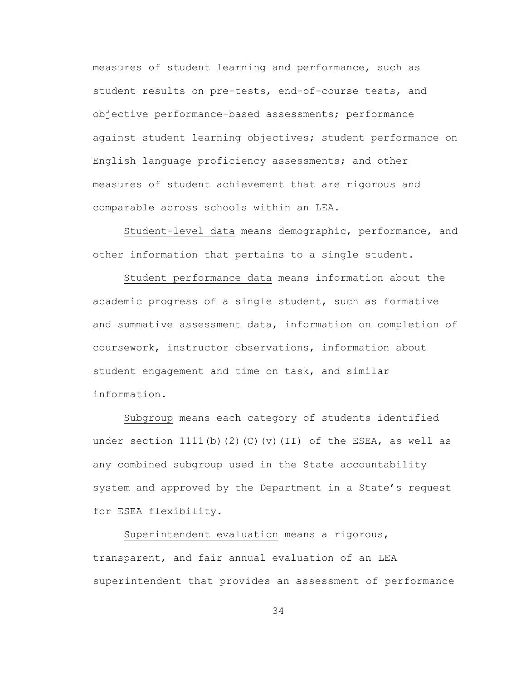measures of student learning and performance, such as student results on pre-tests, end-of-course tests, and objective performance-based assessments; performance against student learning objectives; student performance on English language proficiency assessments; and other measures of student achievement that are rigorous and comparable across schools within an LEA.

Student-level data means demographic, performance, and other information that pertains to a single student.

Student performance data means information about the academic progress of a single student, such as formative and summative assessment data, information on completion of coursework, instructor observations, information about student engagement and time on task, and similar information.

Subgroup means each category of students identified under section  $1111(b)$  (2)(C)(v)(II) of the ESEA, as well as any combined subgroup used in the State accountability system and approved by the Department in a State's request for ESEA flexibility.

Superintendent evaluation means a rigorous, transparent, and fair annual evaluation of an LEA superintendent that provides an assessment of performance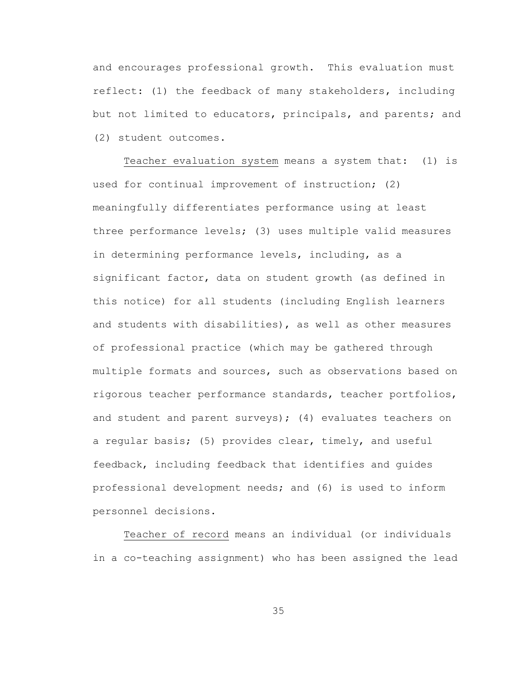and encourages professional growth. This evaluation must reflect: (1) the feedback of many stakeholders, including but not limited to educators, principals, and parents; and (2) student outcomes.

Teacher evaluation system means a system that: (1) is used for continual improvement of instruction; (2) meaningfully differentiates performance using at least three performance levels; (3) uses multiple valid measures in determining performance levels, including, as a significant factor, data on student growth (as defined in this notice) for all students (including English learners and students with disabilities), as well as other measures of professional practice (which may be gathered through multiple formats and sources, such as observations based on rigorous teacher performance standards, teacher portfolios, and student and parent surveys); (4) evaluates teachers on a regular basis; (5) provides clear, timely, and useful feedback, including feedback that identifies and guides professional development needs; and (6) is used to inform personnel decisions.

Teacher of record means an individual (or individuals in a co-teaching assignment) who has been assigned the lead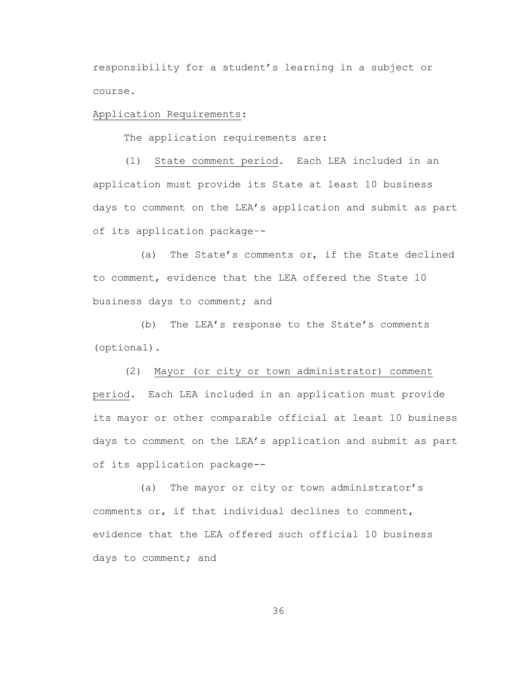responsibility for a student's learning in a subject or course.

# Application Requirements:

The application requirements are:

(1) State comment period. Each LEA included in an application must provide its State at least 10 business days to comment on the LEA's application and submit as part of its application package–-

(a) The State's comments or, if the State declined to comment, evidence that the LEA offered the State 10 business days to comment; and

(b) The LEA's response to the State's comments (optional).

(2) Mayor (or city or town administrator) comment period. Each LEA included in an application must provide its mayor or other comparable official at least 10 business days to comment on the LEA's application and submit as part of its application package--

(a) The mayor or city or town administrator's comments or, if that individual declines to comment, evidence that the LEA offered such official 10 business days to comment; and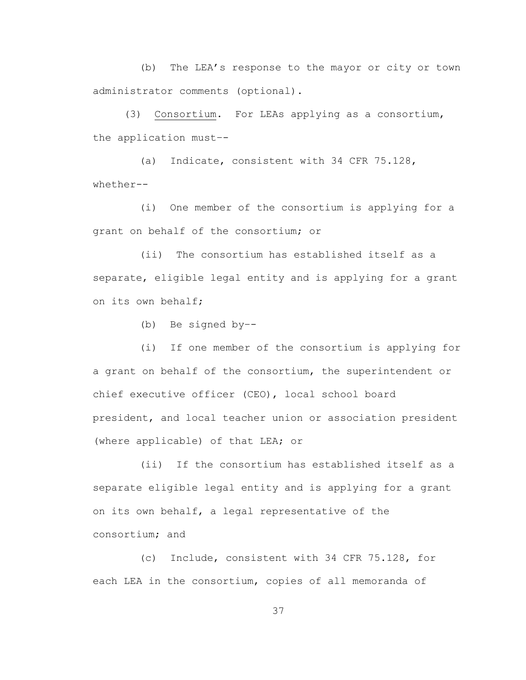(b) The LEA's response to the mayor or city or town administrator comments (optional).

(3) Consortium. For LEAs applying as a consortium, the application must–-

(a) Indicate, consistent with 34 CFR 75.128, whether--

(i) One member of the consortium is applying for a grant on behalf of the consortium; or

(ii) The consortium has established itself as a separate, eligible legal entity and is applying for a grant on its own behalf;

(b) Be signed by–-

(i) If one member of the consortium is applying for a grant on behalf of the consortium, the superintendent or chief executive officer (CEO), local school board president, and local teacher union or association president (where applicable) of that LEA; or

(ii) If the consortium has established itself as a separate eligible legal entity and is applying for a grant on its own behalf, a legal representative of the consortium; and

(c) Include, consistent with 34 CFR 75.128, for each LEA in the consortium, copies of all memoranda of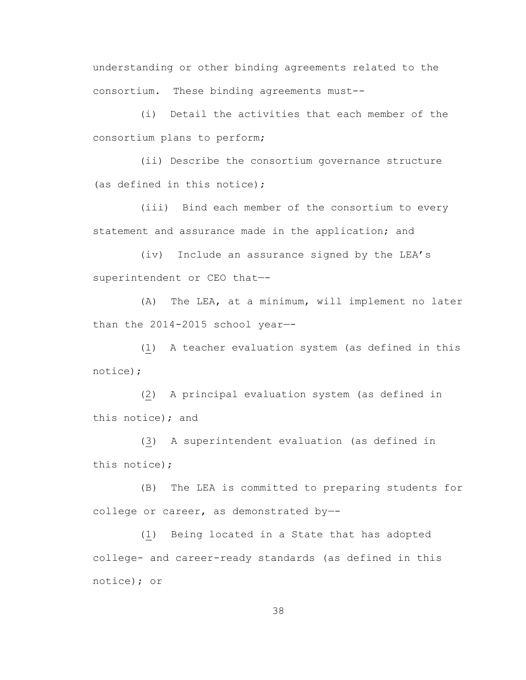understanding or other binding agreements related to the consortium. These binding agreements must--

(i) Detail the activities that each member of the consortium plans to perform;

(ii) Describe the consortium governance structure (as defined in this notice);

(iii) Bind each member of the consortium to every statement and assurance made in the application; and

(iv) Include an assurance signed by the LEA's superintendent or CEO that—-

(A) The LEA, at a minimum, will implement no later than the 2014-2015 school year—-

(1) A teacher evaluation system (as defined in this notice);

(2) A principal evaluation system (as defined in this notice); and

(3) A superintendent evaluation (as defined in this notice);

(B) The LEA is committed to preparing students for college or career, as demonstrated by—-

(1) Being located in a State that has adopted college- and career-ready standards (as defined in this notice); or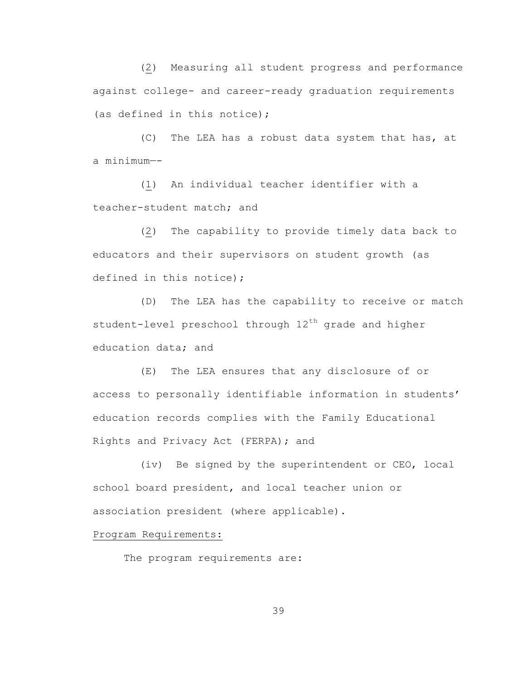(2) Measuring all student progress and performance against college- and career-ready graduation requirements (as defined in this notice);

(C) The LEA has a robust data system that has, at a minimum—-

(1) An individual teacher identifier with a teacher-student match; and

(2) The capability to provide timely data back to educators and their supervisors on student growth (as defined in this notice);

(D) The LEA has the capability to receive or match student-level preschool through  $12<sup>th</sup>$  grade and higher education data; and

(E) The LEA ensures that any disclosure of or access to personally identifiable information in students' education records complies with the Family Educational Rights and Privacy Act (FERPA); and

(iv) Be signed by the superintendent or CEO, local school board president, and local teacher union or association president (where applicable).

### Program Requirements:

The program requirements are: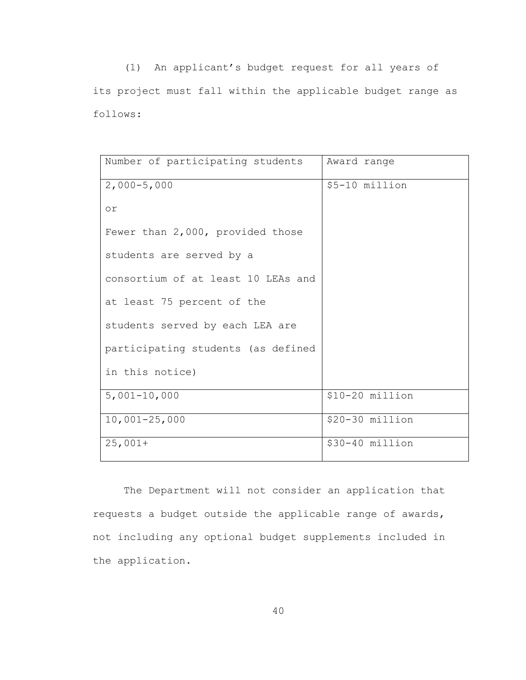(1) An applicant's budget request for all years of its project must fall within the applicable budget range as follows:

| Number of participating students   | Award range     |
|------------------------------------|-----------------|
| $2,000 - 5,000$                    | \$5-10 million  |
| or                                 |                 |
| Fewer than 2,000, provided those   |                 |
| students are served by a           |                 |
| consortium of at least 10 LEAs and |                 |
| at least 75 percent of the         |                 |
| students served by each LEA are    |                 |
| participating students (as defined |                 |
| in this notice)                    |                 |
| $5,001-10,000$                     | \$10-20 million |
| $10,001 - 25,000$                  | \$20-30 million |
| $25,001+$                          | \$30-40 million |

The Department will not consider an application that requests a budget outside the applicable range of awards, not including any optional budget supplements included in the application.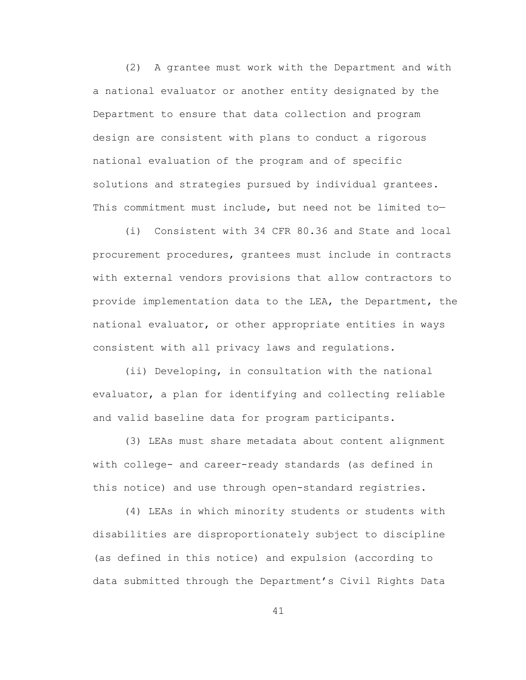(2) A grantee must work with the Department and with a national evaluator or another entity designated by the Department to ensure that data collection and program design are consistent with plans to conduct a rigorous national evaluation of the program and of specific solutions and strategies pursued by individual grantees. This commitment must include, but need not be limited to—

(i) Consistent with 34 CFR 80.36 and State and local procurement procedures, grantees must include in contracts with external vendors provisions that allow contractors to provide implementation data to the LEA, the Department, the national evaluator, or other appropriate entities in ways consistent with all privacy laws and regulations.

(ii) Developing, in consultation with the national evaluator, a plan for identifying and collecting reliable and valid baseline data for program participants.

(3) LEAs must share metadata about content alignment with college- and career-ready standards (as defined in this notice) and use through open-standard registries.

(4) LEAs in which minority students or students with disabilities are disproportionately subject to discipline (as defined in this notice) and expulsion (according to data submitted through the Department's Civil Rights Data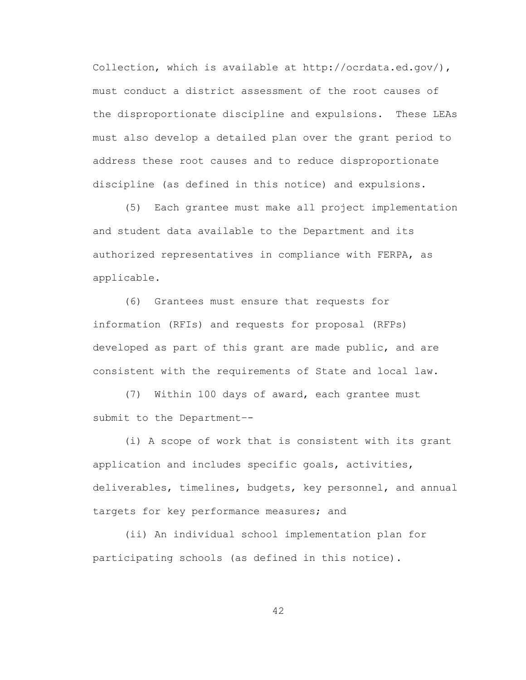Collection, which is available at http://ocrdata.ed.gov/), must conduct a district assessment of the root causes of the disproportionate discipline and expulsions. These LEAs must also develop a detailed plan over the grant period to address these root causes and to reduce disproportionate discipline (as defined in this notice) and expulsions.

(5) Each grantee must make all project implementation and student data available to the Department and its authorized representatives in compliance with FERPA, as applicable.

(6) Grantees must ensure that requests for information (RFIs) and requests for proposal (RFPs) developed as part of this grant are made public, and are consistent with the requirements of State and local law.

(7) Within 100 days of award, each grantee must submit to the Department–-

(i) A scope of work that is consistent with its grant application and includes specific goals, activities, deliverables, timelines, budgets, key personnel, and annual targets for key performance measures; and

(ii) An individual school implementation plan for participating schools (as defined in this notice).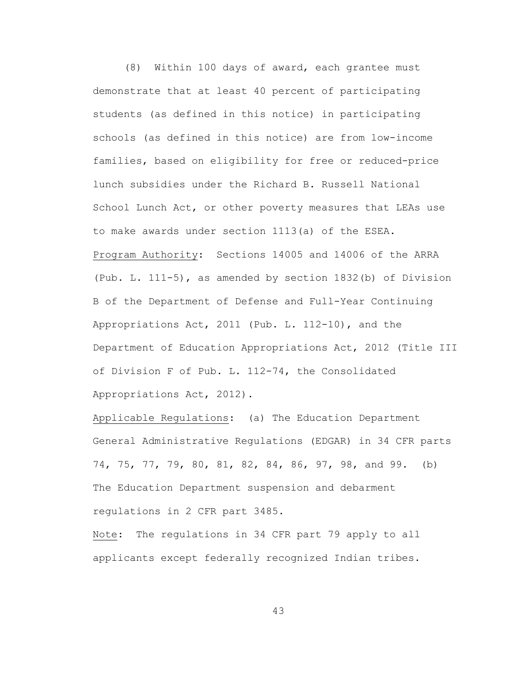(8) Within 100 days of award, each grantee must demonstrate that at least 40 percent of participating students (as defined in this notice) in participating schools (as defined in this notice) are from low-income families, based on eligibility for free or reduced-price lunch subsidies under the Richard B. Russell National School Lunch Act, or other poverty measures that LEAs use to make awards under section 1113(a) of the ESEA. Program Authority: Sections 14005 and 14006 of the ARRA (Pub. L. 111-5), as amended by section 1832(b) of Division B of the Department of Defense and Full-Year Continuing Appropriations Act, 2011 (Pub. L. 112-10), and the Department of Education Appropriations Act, 2012 (Title III of Division F of Pub. L. 112-74, the Consolidated Appropriations Act, 2012).

Applicable Regulations: (a) The Education Department General Administrative Regulations (EDGAR) in 34 CFR parts 74, 75, 77, 79, 80, 81, 82, 84, 86, 97, 98, and 99. (b) The Education Department suspension and debarment regulations in 2 CFR part 3485.

Note: The regulations in 34 CFR part 79 apply to all applicants except federally recognized Indian tribes.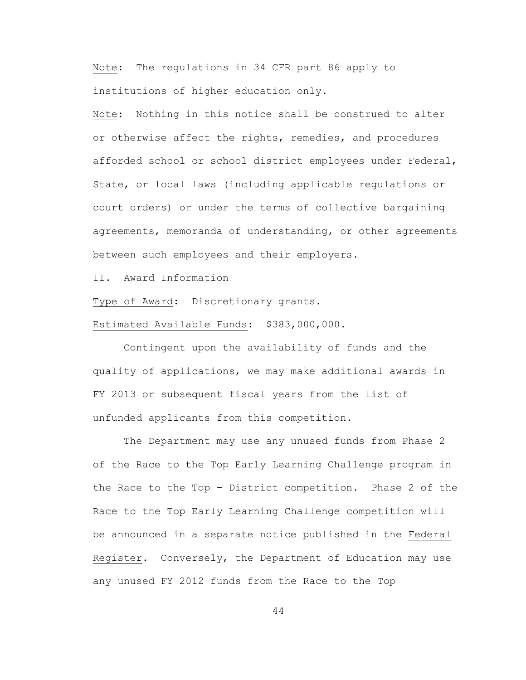Note: The regulations in 34 CFR part 86 apply to institutions of higher education only.

Note: Nothing in this notice shall be construed to alter or otherwise affect the rights, remedies, and procedures afforded school or school district employees under Federal, State, or local laws (including applicable regulations or court orders) or under the terms of collective bargaining agreements, memoranda of understanding, or other agreements between such employees and their employers.

II. Award Information

Type of Award: Discretionary grants.

Estimated Available Funds: \$383,000,000.

Contingent upon the availability of funds and the quality of applications, we may make additional awards in FY 2013 or subsequent fiscal years from the list of unfunded applicants from this competition.

The Department may use any unused funds from Phase 2 of the Race to the Top Early Learning Challenge program in the Race to the Top – District competition. Phase 2 of the Race to the Top Early Learning Challenge competition will be announced in a separate notice published in the Federal Register. Conversely, the Department of Education may use any unused FY 2012 funds from the Race to the Top –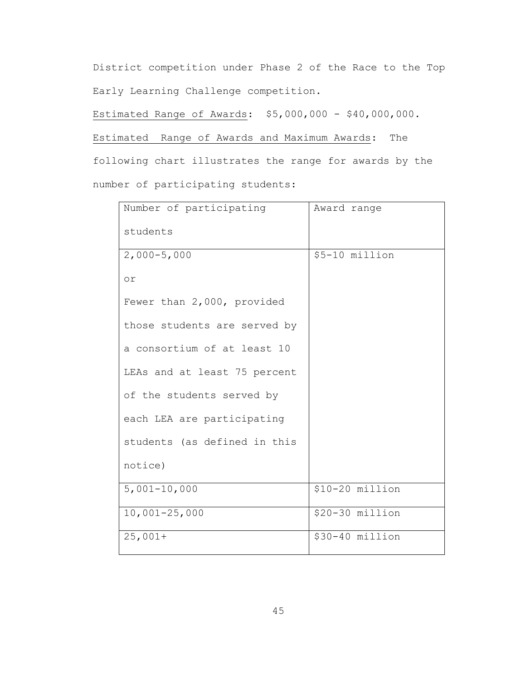District competition under Phase 2 of the Race to the Top Early Learning Challenge competition.

Estimated Range of Awards: \$5,000,000 - \$40,000,000.

Estimated Range of Awards and Maximum Awards: The

following chart illustrates the range for awards by the number of participating students:

| Number of participating      | Award range      |
|------------------------------|------------------|
| students                     |                  |
| $2,000 - 5,000$              | \$5-10 million   |
| $\circ$ r                    |                  |
| Fewer than 2,000, provided   |                  |
| those students are served by |                  |
| a consortium of at least 10  |                  |
| LEAs and at least 75 percent |                  |
| of the students served by    |                  |
| each LEA are participating   |                  |
| students (as defined in this |                  |
| notice)                      |                  |
| $5,001 - 10,000$             | $$10-20$ million |
| $10,001 - 25,000$            | $$20-30$ million |
| $25,001+$                    | $$30-40$ million |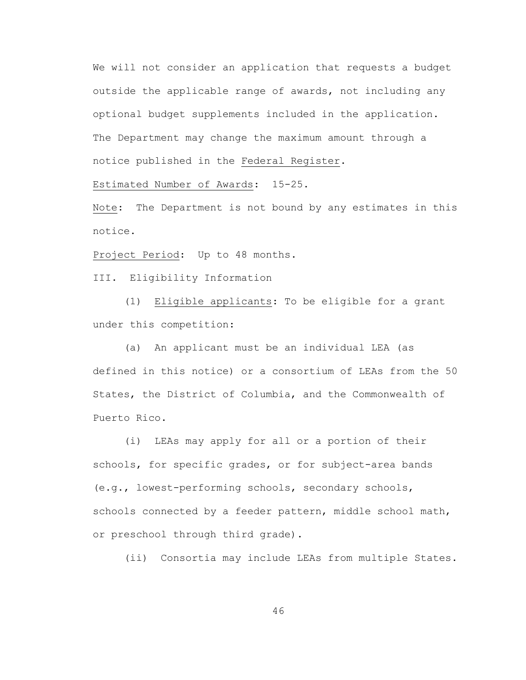We will not consider an application that requests a budget outside the applicable range of awards, not including any optional budget supplements included in the application. The Department may change the maximum amount through a notice published in the Federal Register.

Estimated Number of Awards: 15-25.

Note: The Department is not bound by any estimates in this notice.

Project Period: Up to 48 months.

III. Eligibility Information

(1) Eligible applicants: To be eligible for a grant under this competition:

(a) An applicant must be an individual LEA (as defined in this notice) or a consortium of LEAs from the 50 States, the District of Columbia, and the Commonwealth of Puerto Rico.

(i) LEAs may apply for all or a portion of their schools, for specific grades, or for subject-area bands (e.g., lowest-performing schools, secondary schools, schools connected by a feeder pattern, middle school math, or preschool through third grade).

(ii) Consortia may include LEAs from multiple States.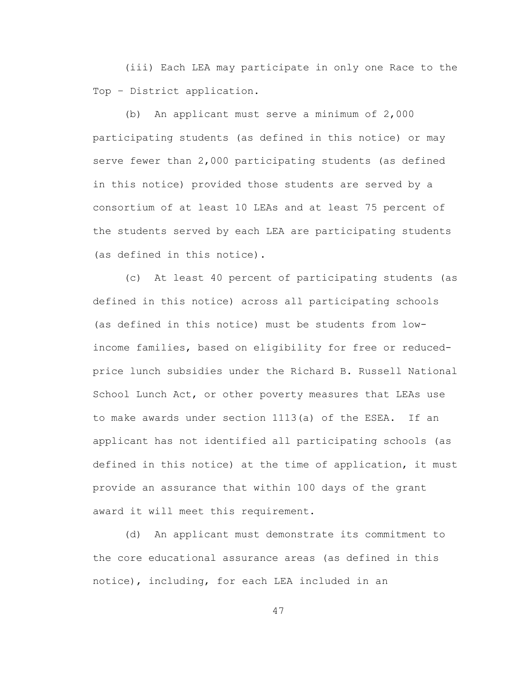(iii) Each LEA may participate in only one Race to the Top – District application.

(b) An applicant must serve a minimum of 2,000 participating students (as defined in this notice) or may serve fewer than 2,000 participating students (as defined in this notice) provided those students are served by a consortium of at least 10 LEAs and at least 75 percent of the students served by each LEA are participating students (as defined in this notice).

(c) At least 40 percent of participating students (as defined in this notice) across all participating schools (as defined in this notice) must be students from lowincome families, based on eligibility for free or reducedprice lunch subsidies under the Richard B. Russell National School Lunch Act, or other poverty measures that LEAs use to make awards under section 1113(a) of the ESEA. If an applicant has not identified all participating schools (as defined in this notice) at the time of application, it must provide an assurance that within 100 days of the grant award it will meet this requirement.

(d) An applicant must demonstrate its commitment to the core educational assurance areas (as defined in this notice), including, for each LEA included in an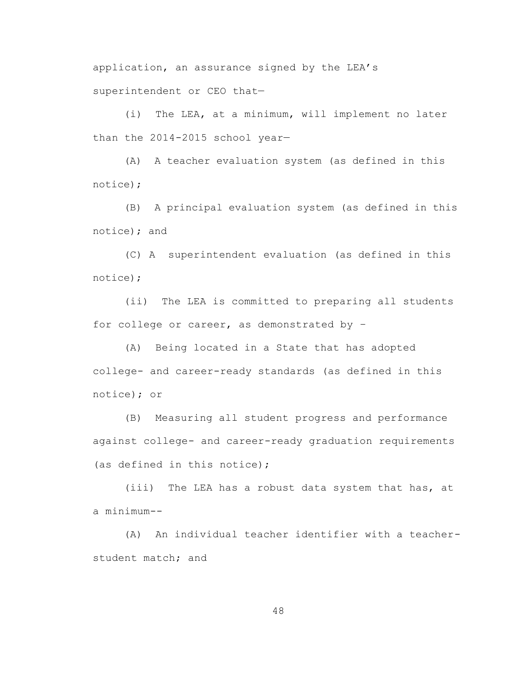application, an assurance signed by the LEA's superintendent or CEO that—

(i) The LEA, at a minimum, will implement no later than the 2014-2015 school year—

(A) A teacher evaluation system (as defined in this notice);

(B) A principal evaluation system (as defined in this notice); and

(C) A superintendent evaluation (as defined in this notice);

(ii) The LEA is committed to preparing all students for college or career, as demonstrated by –

(A) Being located in a State that has adopted college- and career-ready standards (as defined in this notice); or

(B) Measuring all student progress and performance against college- and career-ready graduation requirements (as defined in this notice);

(iii) The LEA has a robust data system that has, at a minimum--

(A) An individual teacher identifier with a teacherstudent match; and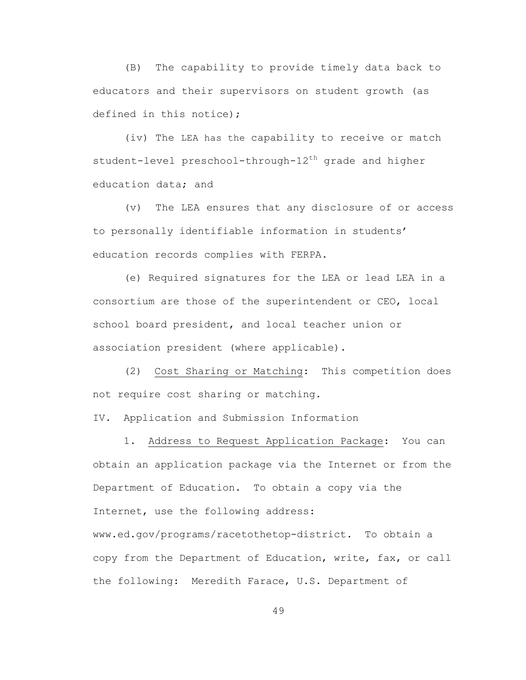(B) The capability to provide timely data back to educators and their supervisors on student growth (as defined in this notice);

(iv) The LEA has the capability to receive or match student-level preschool-through-12<sup>th</sup> grade and higher education data; and

(v) The LEA ensures that any disclosure of or access to personally identifiable information in students' education records complies with FERPA.

(e) Required signatures for the LEA or lead LEA in a consortium are those of the superintendent or CEO, local school board president, and local teacher union or association president (where applicable).

 (2) Cost Sharing or Matching: This competition does not require cost sharing or matching.

IV. Application and Submission Information

1. Address to Request Application Package: You can obtain an application package via the Internet or from the Department of Education. To obtain a copy via the Internet, use the following address: www.ed.gov/programs/racetothetop-district. To obtain a copy from the Department of Education, write, fax, or call the following: Meredith Farace, U.S. Department of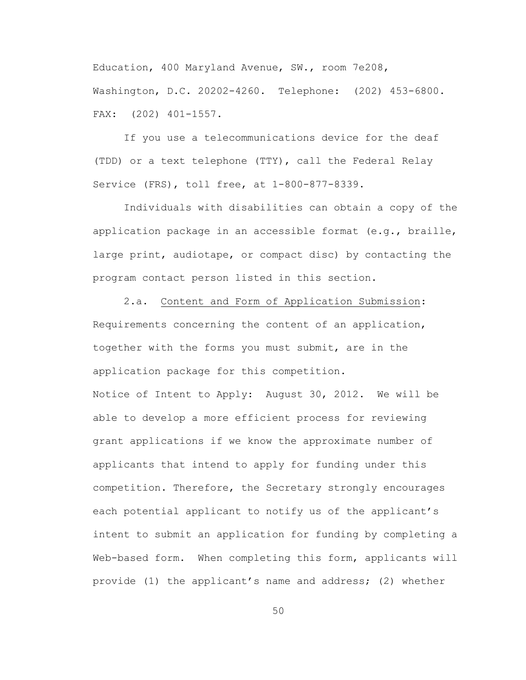Education, 400 Maryland Avenue, SW., room 7e208, Washington, D.C. 20202-4260. Telephone: (202) 453-6800. FAX: (202) 401-1557.

If you use a telecommunications device for the deaf (TDD) or a text telephone (TTY), call the Federal Relay Service (FRS), toll free, at 1-800-877-8339.

Individuals with disabilities can obtain a copy of the application package in an accessible format (e.g., braille, large print, audiotape, or compact disc) by contacting the program contact person listed in this section.

2.a. Content and Form of Application Submission: Requirements concerning the content of an application, together with the forms you must submit, are in the application package for this competition. Notice of Intent to Apply: August 30, 2012. We will be able to develop a more efficient process for reviewing grant applications if we know the approximate number of applicants that intend to apply for funding under this competition. Therefore, the Secretary strongly encourages each potential applicant to notify us of the applicant's intent to submit an application for funding by completing a Web-based form. When completing this form, applicants will

provide (1) the applicant's name and address; (2) whether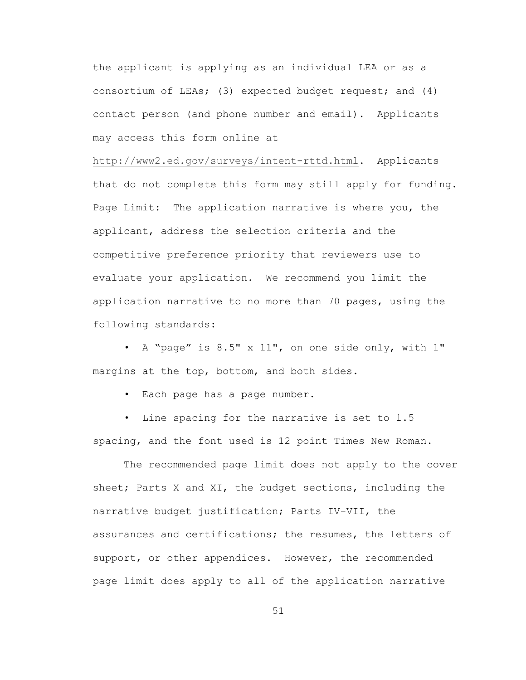the applicant is applying as an individual LEA or as a consortium of LEAs; (3) expected budget request; and (4) contact person (and phone number and email). Applicants may access this form online at

<http://www2.ed.gov/surveys/intent-rttd.html>**.** Applicants that do not complete this form may still apply for funding. Page Limit: The application narrative is where you, the applicant, address the selection criteria and the competitive preference priority that reviewers use to evaluate your application. We recommend you limit the application narrative to no more than 70 pages, using the following standards:

• A "page" is 8.5" x 11", on one side only, with 1" margins at the top, bottom, and both sides.

• Each page has a page number.

• Line spacing for the narrative is set to 1.5 spacing, and the font used is 12 point Times New Roman.

The recommended page limit does not apply to the cover sheet; Parts X and XI, the budget sections, including the narrative budget justification; Parts IV-VII, the assurances and certifications; the resumes, the letters of support, or other appendices. However, the recommended page limit does apply to all of the application narrative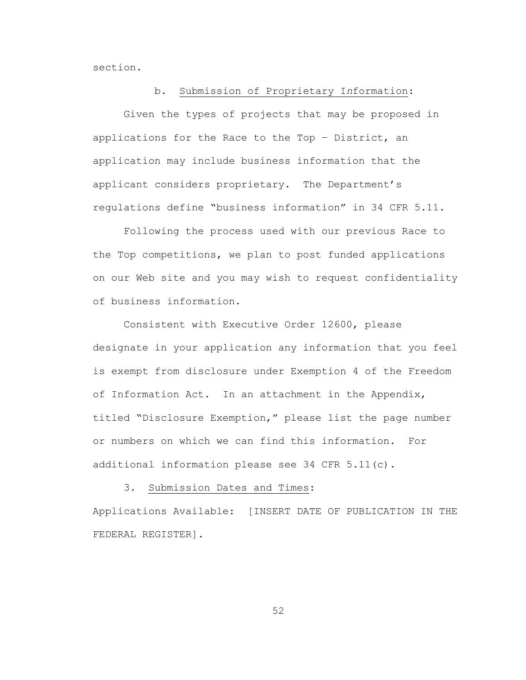section.

#### b. Submission of Proprietary I*n*formation:

Given the types of projects that may be proposed in applications for the Race to the Top – District, an application may include business information that the applicant considers proprietary. The Department's regulations define "business information" in 34 CFR 5.11.

Following the process used with our previous Race to the Top competitions, we plan to post funded applications on our Web site and you may wish to request confidentiality of business information.

Consistent with Executive Order 12600, please designate in your application any information that you feel is exempt from disclosure under Exemption 4 of the Freedom of Information Act. In an attachment in the Appendix, titled "Disclosure Exemption," please list the page number or numbers on which we can find this information. For additional information please see 34 CFR 5.11(c).

#### 3. Submission Dates and Times:

Applications Available: [INSERT DATE OF PUBLICATION IN THE FEDERAL REGISTER].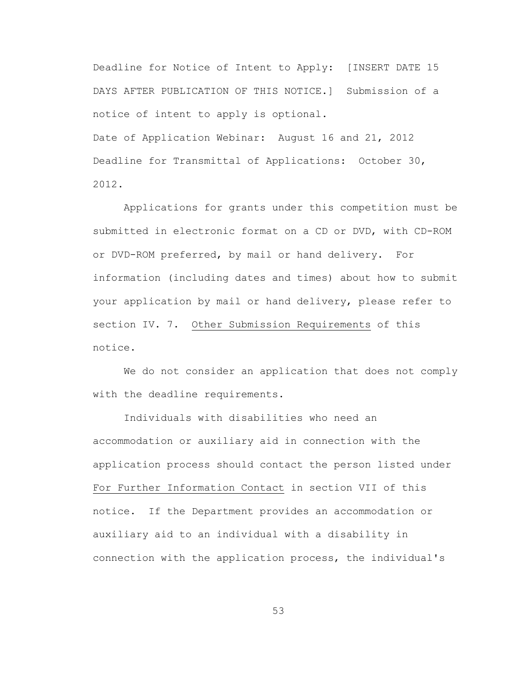Deadline for Notice of Intent to Apply: [INSERT DATE 15 DAYS AFTER PUBLICATION OF THIS NOTICE.] Submission of a notice of intent to apply is optional. Date of Application Webinar: August 16 and 21, 2012 Deadline for Transmittal of Applications: October 30, 2012.

Applications for grants under this competition must be submitted in electronic format on a CD or DVD, with CD-ROM or DVD-ROM preferred, by mail or hand delivery. For information (including dates and times) about how to submit your application by mail or hand delivery, please refer to section IV. 7. Other Submission Requirements of this notice.

We do not consider an application that does not comply with the deadline requirements.

Individuals with disabilities who need an accommodation or auxiliary aid in connection with the application process should contact the person listed under For Further Information Contact in section VII of this notice. If the Department provides an accommodation or auxiliary aid to an individual with a disability in connection with the application process, the individual's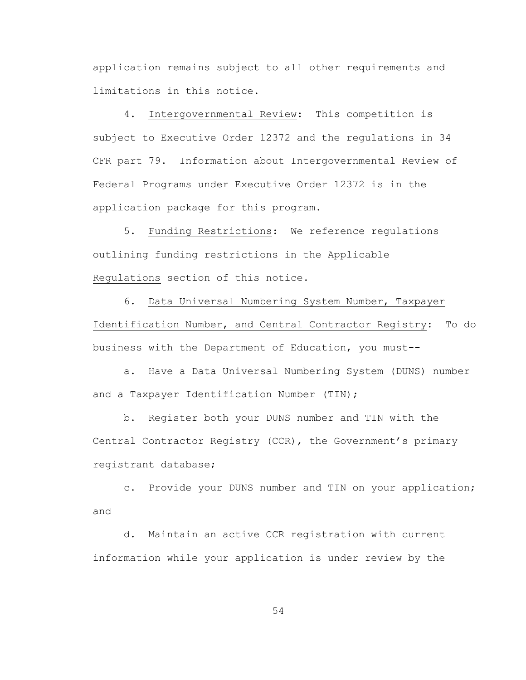application remains subject to all other requirements and limitations in this notice.

4. Intergovernmental Review: This competition is subject to Executive Order 12372 and the regulations in 34 CFR part 79. Information about Intergovernmental Review of Federal Programs under Executive Order 12372 is in the application package for this program.

5. Funding Restrictions: We reference regulations outlining funding restrictions in the Applicable Regulations section of this notice.

6. Data Universal Numbering System Number, Taxpayer Identification Number, and Central Contractor Registry: To do business with the Department of Education, you must--

a. Have a Data Universal Numbering System (DUNS) number and a Taxpayer Identification Number (TIN);

b. Register both your DUNS number and TIN with the Central Contractor Registry (CCR), the Government's primary registrant database;

c. Provide your DUNS number and TIN on your application; and

d. Maintain an active CCR registration with current information while your application is under review by the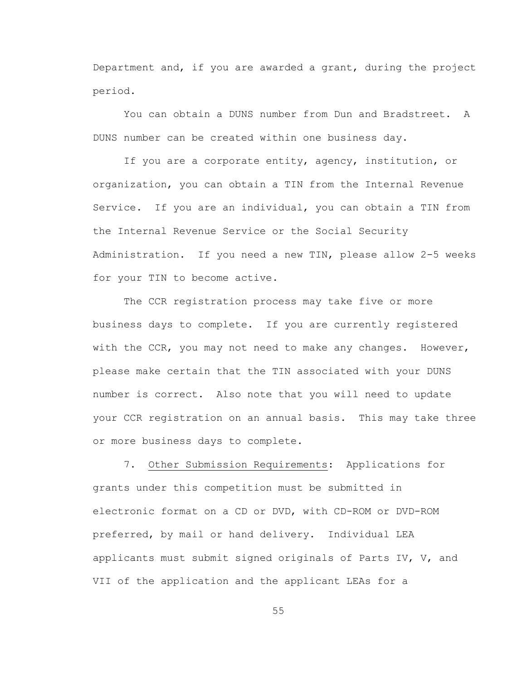Department and, if you are awarded a grant, during the project period.

You can obtain a DUNS number from Dun and Bradstreet. A DUNS number can be created within one business day.

If you are a corporate entity, agency, institution, or organization, you can obtain a TIN from the Internal Revenue Service. If you are an individual, you can obtain a TIN from the Internal Revenue Service or the Social Security Administration. If you need a new TIN, please allow 2-5 weeks for your TIN to become active.

The CCR registration process may take five or more business days to complete. If you are currently registered with the CCR, you may not need to make any changes. However, please make certain that the TIN associated with your DUNS number is correct. Also note that you will need to update your CCR registration on an annual basis. This may take three or more business days to complete.

7. Other Submission Requirements: Applications for grants under this competition must be submitted in electronic format on a CD or DVD, with CD-ROM or DVD-ROM preferred, by mail or hand delivery. Individual LEA applicants must submit signed originals of Parts IV, V, and VII of the application and the applicant LEAs for a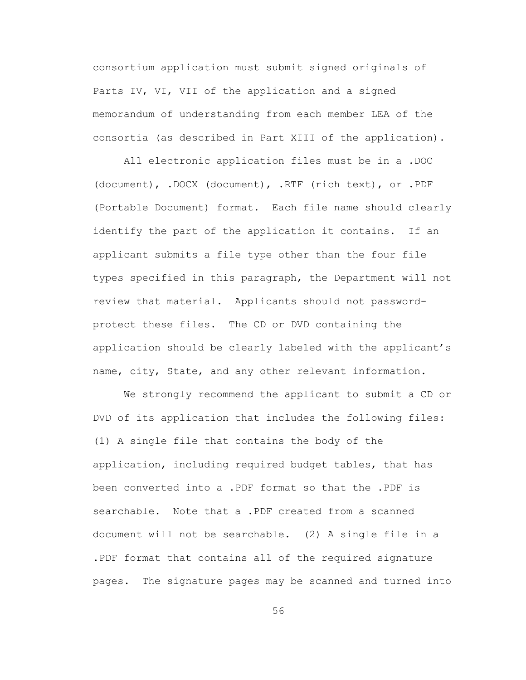consortium application must submit signed originals of Parts IV, VI, VII of the application and a signed memorandum of understanding from each member LEA of the consortia (as described in Part XIII of the application).

All electronic application files must be in a .DOC (document), .DOCX (document), .RTF (rich text), or .PDF (Portable Document) format. Each file name should clearly identify the part of the application it contains. If an applicant submits a file type other than the four file types specified in this paragraph, the Department will not review that material. Applicants should not passwordprotect these files. The CD or DVD containing the application should be clearly labeled with the applicant's name, city, State, and any other relevant information.

We strongly recommend the applicant to submit a CD or DVD of its application that includes the following files: (1) A single file that contains the body of the application, including required budget tables, that has been converted into a .PDF format so that the .PDF is searchable. Note that a .PDF created from a scanned document will not be searchable. (2) A single file in a .PDF format that contains all of the required signature pages. The signature pages may be scanned and turned into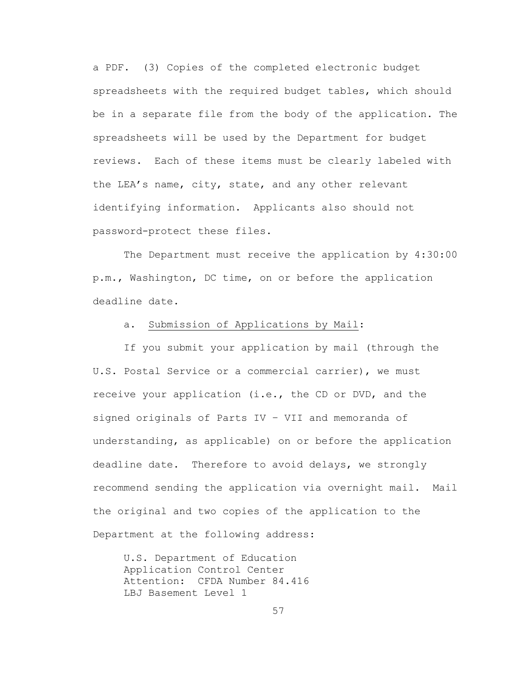a PDF. (3) Copies of the completed electronic budget spreadsheets with the required budget tables, which should be in a separate file from the body of the application. The spreadsheets will be used by the Department for budget reviews. Each of these items must be clearly labeled with the LEA's name, city, state, and any other relevant identifying information. Applicants also should not password-protect these files.

The Department must receive the application by 4:30:00 p.m., Washington, DC time, on or before the application deadline date.

## a. Submission of Applications by Mail:

If you submit your application by mail (through the U.S. Postal Service or a commercial carrier), we must receive your application (i.e., the CD or DVD, and the signed originals of Parts IV – VII and memoranda of understanding, as applicable) on or before the application deadline date. Therefore to avoid delays, we strongly recommend sending the application via overnight mail. Mail the original and two copies of the application to the Department at the following address:

U.S. Department of Education Application Control Center Attention: CFDA Number 84.416 LBJ Basement Level 1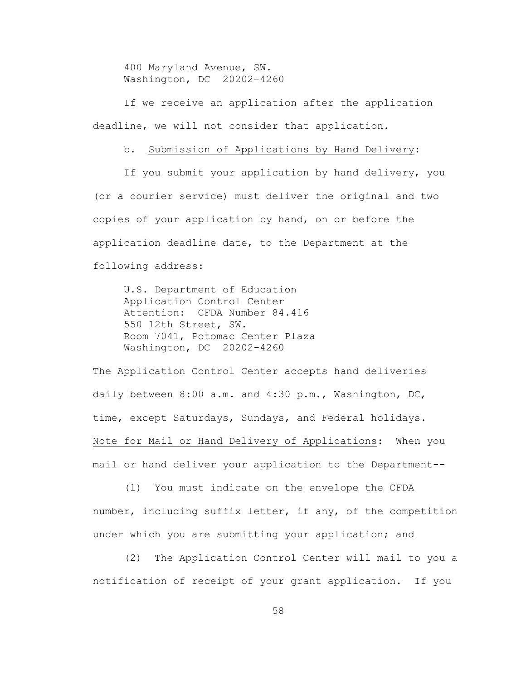400 Maryland Avenue, SW. Washington, DC 20202-4260

If we receive an application after the application deadline, we will not consider that application.

### b. Submission of Applications by Hand Delivery:

If you submit your application by hand delivery, you (or a courier service) must deliver the original and two copies of your application by hand, on or before the application deadline date, to the Department at the following address:

U.S. Department of Education Application Control Center Attention: CFDA Number 84.416 550 12th Street, SW. Room 7041, Potomac Center Plaza Washington, DC 20202-4260

The Application Control Center accepts hand deliveries daily between 8:00 a.m. and 4:30 p.m., Washington, DC, time, except Saturdays, Sundays, and Federal holidays. Note for Mail or Hand Delivery of Applications: When you mail or hand deliver your application to the Department--

(1) You must indicate on the envelope the CFDA number, including suffix letter, if any, of the competition under which you are submitting your application; and

(2) The Application Control Center will mail to you a notification of receipt of your grant application. If you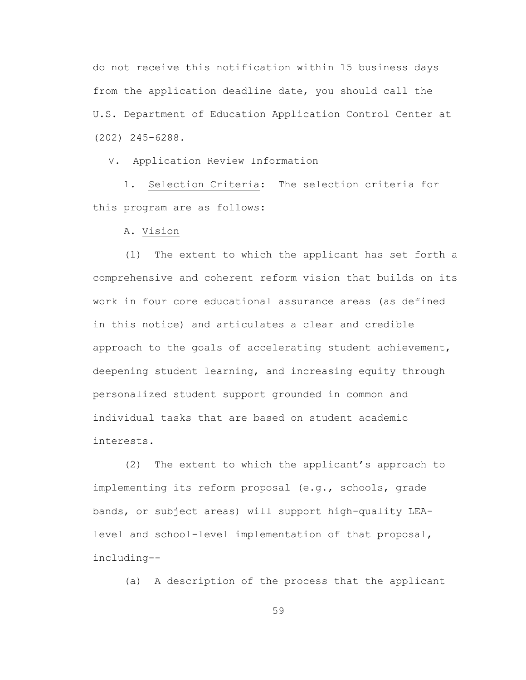do not receive this notification within 15 business days from the application deadline date, you should call the U.S. Department of Education Application Control Center at (202) 245-6288.

V. Application Review Information

1. Selection Criteria: The selection criteria for this program are as follows:

A. Vision

(1) The extent to which the applicant has set forth a comprehensive and coherent reform vision that builds on its work in four core educational assurance areas (as defined in this notice) and articulates a clear and credible approach to the goals of accelerating student achievement, deepening student learning, and increasing equity through personalized student support grounded in common and individual tasks that are based on student academic interests.

(2) The extent to which the applicant's approach to implementing its reform proposal (e.g., schools, grade bands, or subject areas) will support high-quality LEAlevel and school-level implementation of that proposal, including--

(a) A description of the process that the applicant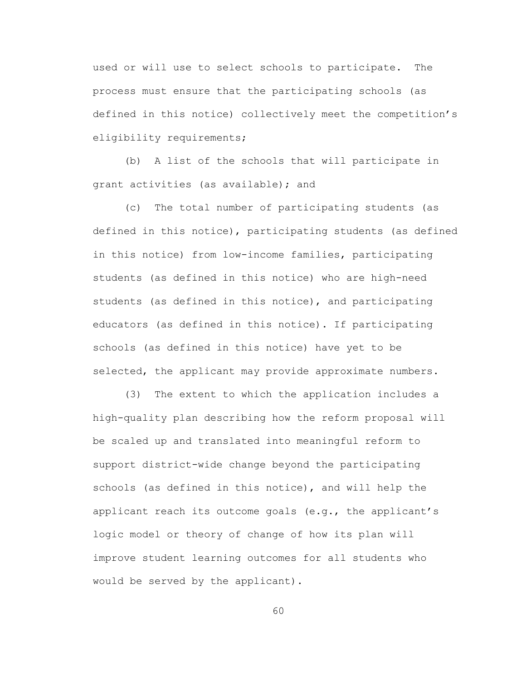used or will use to select schools to participate. The process must ensure that the participating schools (as defined in this notice) collectively meet the competition's eligibility requirements;

(b) A list of the schools that will participate in grant activities (as available); and

(c) The total number of participating students (as defined in this notice), participating students (as defined in this notice) from low-income families, participating students (as defined in this notice) who are high-need students (as defined in this notice), and participating educators (as defined in this notice). If participating schools (as defined in this notice) have yet to be selected, the applicant may provide approximate numbers.

(3) The extent to which the application includes a high-quality plan describing how the reform proposal will be scaled up and translated into meaningful reform to support district-wide change beyond the participating schools (as defined in this notice), and will help the applicant reach its outcome goals (e.g., the applicant's logic model or theory of change of how its plan will improve student learning outcomes for all students who would be served by the applicant).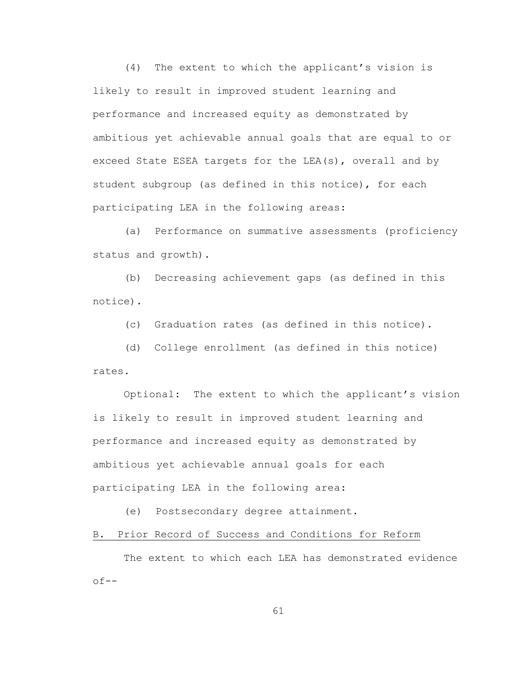(4) The extent to which the applicant's vision is likely to result in improved student learning and performance and increased equity as demonstrated by ambitious yet achievable annual goals that are equal to or exceed State ESEA targets for the LEA(s), overall and by student subgroup (as defined in this notice), for each participating LEA in the following areas:

(a) Performance on summative assessments (proficiency status and growth).

(b) Decreasing achievement gaps (as defined in this notice).

(c) Graduation rates (as defined in this notice).

(d) College enrollment (as defined in this notice) rates.

Optional: The extent to which the applicant's vision is likely to result in improved student learning and performance and increased equity as demonstrated by ambitious yet achievable annual goals for each participating LEA in the following area:

(e) Postsecondary degree attainment.

B. Prior Record of Success and Conditions for Reform

The extent to which each LEA has demonstrated evidence  $of--$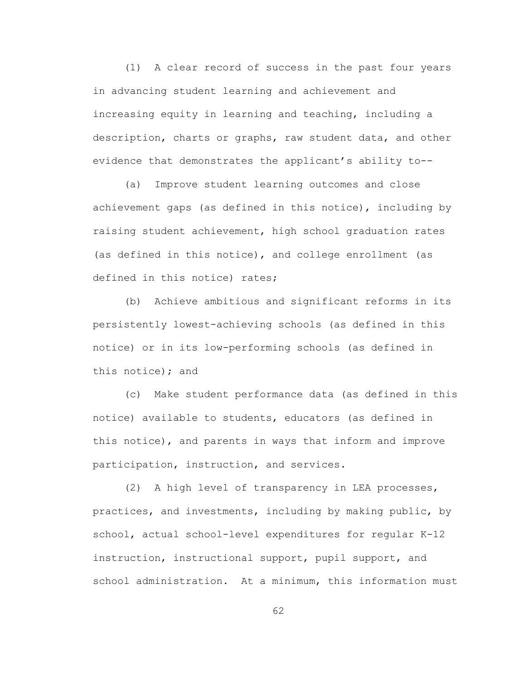(1) A clear record of success in the past four years in advancing student learning and achievement and increasing equity in learning and teaching, including a description, charts or graphs, raw student data, and other evidence that demonstrates the applicant's ability to--

(a) Improve student learning outcomes and close achievement gaps (as defined in this notice), including by raising student achievement, high school graduation rates (as defined in this notice), and college enrollment (as defined in this notice) rates;

(b) Achieve ambitious and significant reforms in its persistently lowest-achieving schools (as defined in this notice) or in its low-performing schools (as defined in this notice); and

(c) Make student performance data (as defined in this notice) available to students, educators (as defined in this notice), and parents in ways that inform and improve participation, instruction, and services.

(2) A high level of transparency in LEA processes, practices, and investments, including by making public, by school, actual school-level expenditures for regular K-12 instruction, instructional support, pupil support, and school administration. At a minimum, this information must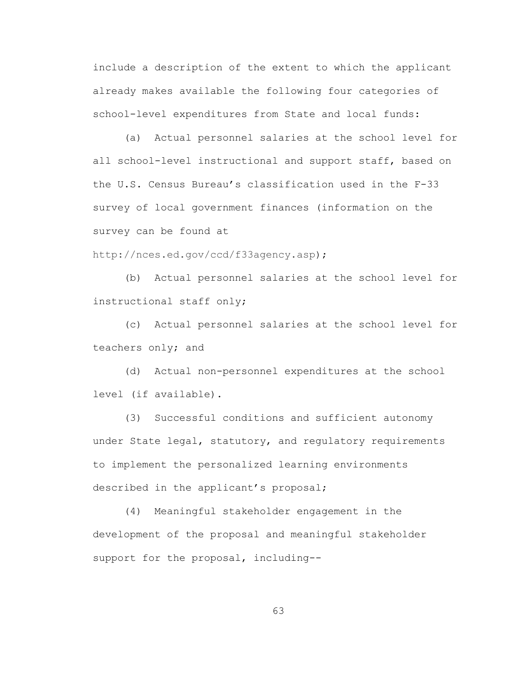include a description of the extent to which the applicant already makes available the following four categories of school-level expenditures from State and local funds:

(a) Actual personnel salaries at the school level for all school-level instructional and support staff, based on the U.S. Census Bureau's classification used in the F-33 survey of local government finances (information on the survey can be found at

[http://nces.ed.gov/ccd/f33agency.asp\)](http://nces.ed.gov/ccd/f33agency.asp);

(b) Actual personnel salaries at the school level for instructional staff only;

(c) Actual personnel salaries at the school level for teachers only; and

(d) Actual non-personnel expenditures at the school level (if available).

(3) Successful conditions and sufficient autonomy under State legal, statutory, and regulatory requirements to implement the personalized learning environments described in the applicant's proposal;

(4) Meaningful stakeholder engagement in the development of the proposal and meaningful stakeholder support for the proposal, including--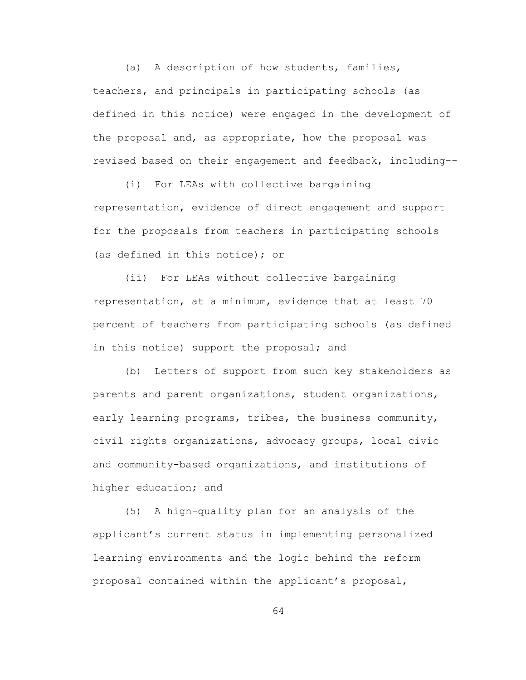(a) A description of how students, families, teachers, and principals in participating schools (as defined in this notice) were engaged in the development of the proposal and, as appropriate, how the proposal was revised based on their engagement and feedback, including--

(i) For LEAs with collective bargaining representation, evidence of direct engagement and support for the proposals from teachers in participating schools (as defined in this notice); or

(ii) For LEAs without collective bargaining representation, at a minimum, evidence that at least 70 percent of teachers from participating schools (as defined in this notice) support the proposal; and

(b) Letters of support from such key stakeholders as parents and parent organizations, student organizations, early learning programs, tribes, the business community, civil rights organizations, advocacy groups, local civic and community-based organizations, and institutions of higher education; and

(5) A high-quality plan for an analysis of the applicant's current status in implementing personalized learning environments and the logic behind the reform proposal contained within the applicant's proposal,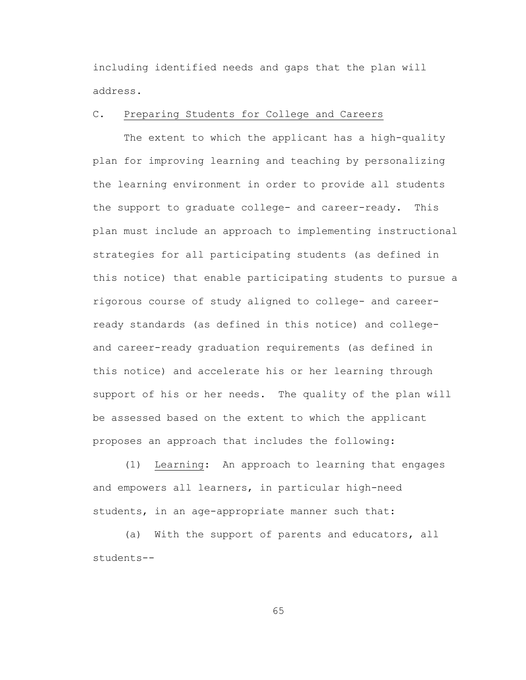including identified needs and gaps that the plan will address.

# C. Preparing Students for College and Careers

The extent to which the applicant has a high-quality plan for improving learning and teaching by personalizing the learning environment in order to provide all students the support to graduate college- and career-ready. This plan must include an approach to implementing instructional strategies for all participating students (as defined in this notice) that enable participating students to pursue a rigorous course of study aligned to college- and careerready standards (as defined in this notice) and collegeand career-ready graduation requirements (as defined in this notice) and accelerate his or her learning through support of his or her needs. The quality of the plan will be assessed based on the extent to which the applicant proposes an approach that includes the following:

(1) Learning: An approach to learning that engages and empowers all learners, in particular high-need students, in an age-appropriate manner such that:

(a) With the support of parents and educators, all students--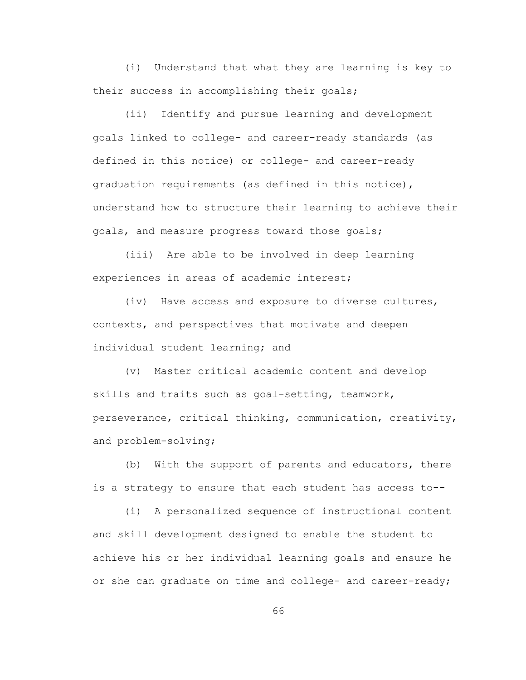(i) Understand that what they are learning is key to their success in accomplishing their goals;

(ii) Identify and pursue learning and development goals linked to college- and career-ready standards (as defined in this notice) or college- and career-ready graduation requirements (as defined in this notice), understand how to structure their learning to achieve their goals, and measure progress toward those goals;

(iii) Are able to be involved in deep learning experiences in areas of academic interest;

(iv) Have access and exposure to diverse cultures, contexts, and perspectives that motivate and deepen individual student learning; and

(v) Master critical academic content and develop skills and traits such as goal-setting, teamwork, perseverance, critical thinking, communication, creativity, and problem-solving;

(b) With the support of parents and educators, there is a strategy to ensure that each student has access to--

(i) A personalized sequence of instructional content and skill development designed to enable the student to achieve his or her individual learning goals and ensure he or she can graduate on time and college- and career-ready;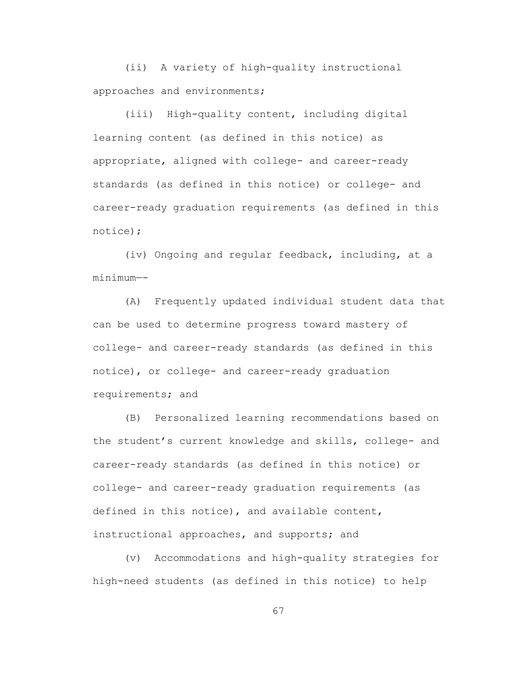(ii) A variety of high-quality instructional approaches and environments;

(iii) High-quality content, including digital learning content (as defined in this notice) as appropriate, aligned with college- and career-ready standards (as defined in this notice) or college- and career-ready graduation requirements (as defined in this notice);

(iv) Ongoing and regular feedback, including, at a minimum—-

(A) Frequently updated individual student data that can be used to determine progress toward mastery of college- and career-ready standards (as defined in this notice), or college- and career-ready graduation requirements; and

(B) Personalized learning recommendations based on the student's current knowledge and skills, college- and career-ready standards (as defined in this notice) or college- and career-ready graduation requirements (as defined in this notice), and available content, instructional approaches, and supports; and

(v) Accommodations and high-quality strategies for high-need students (as defined in this notice) to help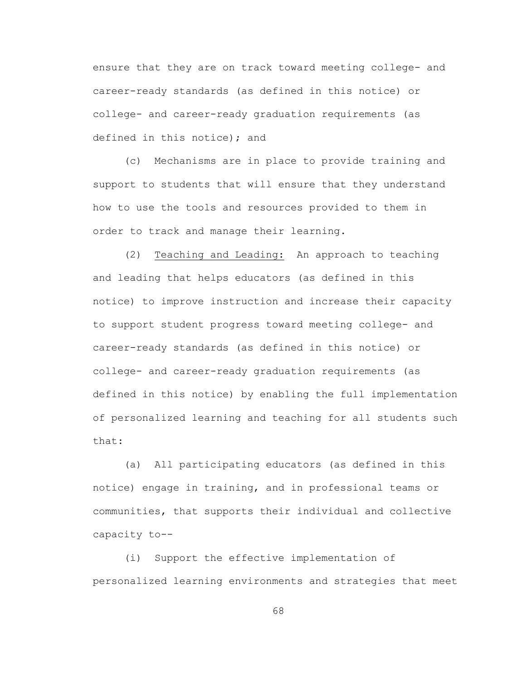ensure that they are on track toward meeting college- and career-ready standards (as defined in this notice) or college- and career-ready graduation requirements (as defined in this notice); and

(c) Mechanisms are in place to provide training and support to students that will ensure that they understand how to use the tools and resources provided to them in order to track and manage their learning.

(2) Teaching and Leading: An approach to teaching and leading that helps educators (as defined in this notice) to improve instruction and increase their capacity to support student progress toward meeting college- and career-ready standards (as defined in this notice) or college- and career-ready graduation requirements (as defined in this notice) by enabling the full implementation of personalized learning and teaching for all students such that:

(a) All participating educators (as defined in this notice) engage in training, and in professional teams or communities, that supports their individual and collective capacity to--

(i) Support the effective implementation of personalized learning environments and strategies that meet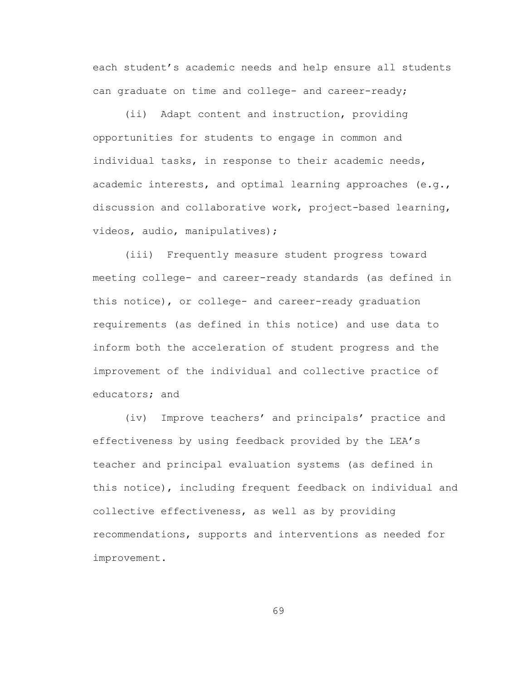each student's academic needs and help ensure all students can graduate on time and college- and career-ready;

(ii) Adapt content and instruction, providing opportunities for students to engage in common and individual tasks, in response to their academic needs, academic interests, and optimal learning approaches (e.g., discussion and collaborative work, project-based learning, videos, audio, manipulatives);

(iii) Frequently measure student progress toward meeting college- and career-ready standards (as defined in this notice), or college- and career-ready graduation requirements (as defined in this notice) and use data to inform both the acceleration of student progress and the improvement of the individual and collective practice of educators; and

(iv) Improve teachers' and principals' practice and effectiveness by using feedback provided by the LEA's teacher and principal evaluation systems (as defined in this notice), including frequent feedback on individual and collective effectiveness, as well as by providing recommendations, supports and interventions as needed for improvement.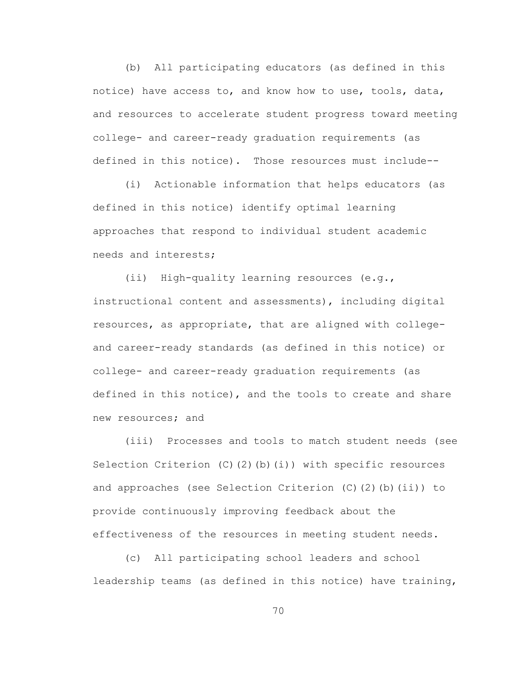(b) All participating educators (as defined in this notice) have access to, and know how to use, tools, data, and resources to accelerate student progress toward meeting college- and career-ready graduation requirements (as defined in this notice). Those resources must include--

(i) Actionable information that helps educators (as defined in this notice) identify optimal learning approaches that respond to individual student academic needs and interests;

(ii) High-quality learning resources (e.g., instructional content and assessments), including digital resources, as appropriate, that are aligned with collegeand career-ready standards (as defined in this notice) or college- and career-ready graduation requirements (as defined in this notice), and the tools to create and share new resources; and

(iii) Processes and tools to match student needs (see Selection Criterion  $(C)$   $(2)$   $(b)$   $(i)$ ) with specific resources and approaches (see Selection Criterion (C)(2)(b)(ii)) to provide continuously improving feedback about the effectiveness of the resources in meeting student needs.

(c) All participating school leaders and school leadership teams (as defined in this notice) have training,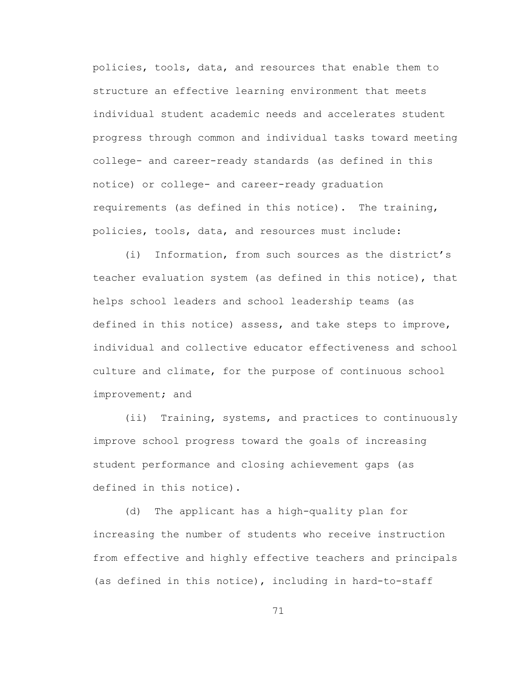policies, tools, data, and resources that enable them to structure an effective learning environment that meets individual student academic needs and accelerates student progress through common and individual tasks toward meeting college- and career-ready standards (as defined in this notice) or college- and career-ready graduation requirements (as defined in this notice). The training, policies, tools, data, and resources must include:

(i) Information, from such sources as the district's teacher evaluation system (as defined in this notice), that helps school leaders and school leadership teams (as defined in this notice) assess, and take steps to improve, individual and collective educator effectiveness and school culture and climate, for the purpose of continuous school improvement; and

(ii) Training, systems, and practices to continuously improve school progress toward the goals of increasing student performance and closing achievement gaps (as defined in this notice).

(d) The applicant has a high-quality plan for increasing the number of students who receive instruction from effective and highly effective teachers and principals (as defined in this notice), including in hard-to-staff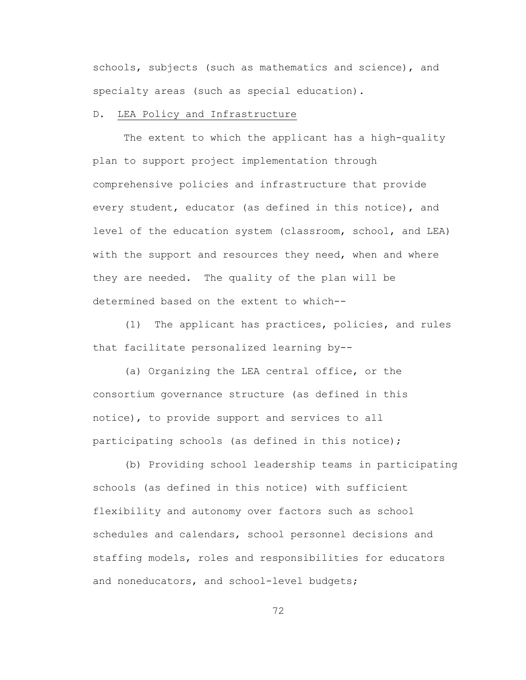schools, subjects (such as mathematics and science), and specialty areas (such as special education).

# D. LEA Policy and Infrastructure

The extent to which the applicant has a high-quality plan to support project implementation through comprehensive policies and infrastructure that provide every student, educator (as defined in this notice), and level of the education system (classroom, school, and LEA) with the support and resources they need, when and where they are needed. The quality of the plan will be determined based on the extent to which--

(1) The applicant has practices, policies, and rules that facilitate personalized learning by--

(a) Organizing the LEA central office, or the consortium governance structure (as defined in this notice), to provide support and services to all participating schools (as defined in this notice);

(b) Providing school leadership teams in participating schools (as defined in this notice) with sufficient flexibility and autonomy over factors such as school schedules and calendars, school personnel decisions and staffing models, roles and responsibilities for educators and noneducators, and school-level budgets;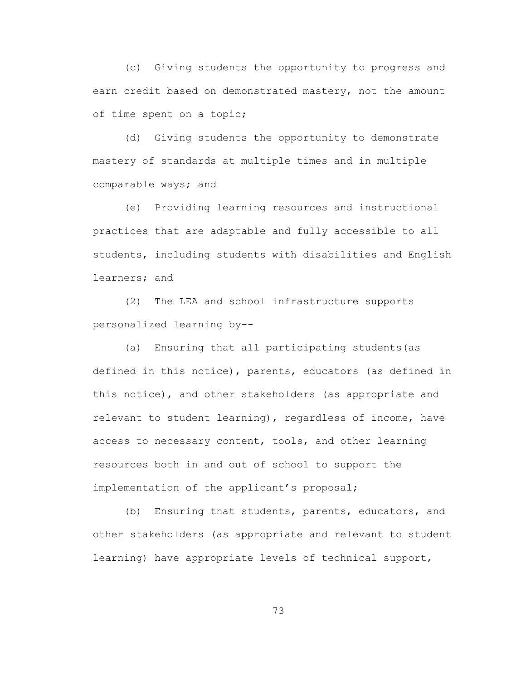(c) Giving students the opportunity to progress and earn credit based on demonstrated mastery, not the amount of time spent on a topic;

(d) Giving students the opportunity to demonstrate mastery of standards at multiple times and in multiple comparable ways; and

(e) Providing learning resources and instructional practices that are adaptable and fully accessible to all students, including students with disabilities and English learners; and

(2) The LEA and school infrastructure supports personalized learning by--

(a) Ensuring that all participating students(as defined in this notice), parents, educators (as defined in this notice), and other stakeholders (as appropriate and relevant to student learning), regardless of income, have access to necessary content, tools, and other learning resources both in and out of school to support the implementation of the applicant's proposal;

(b) Ensuring that students, parents, educators, and other stakeholders (as appropriate and relevant to student learning) have appropriate levels of technical support,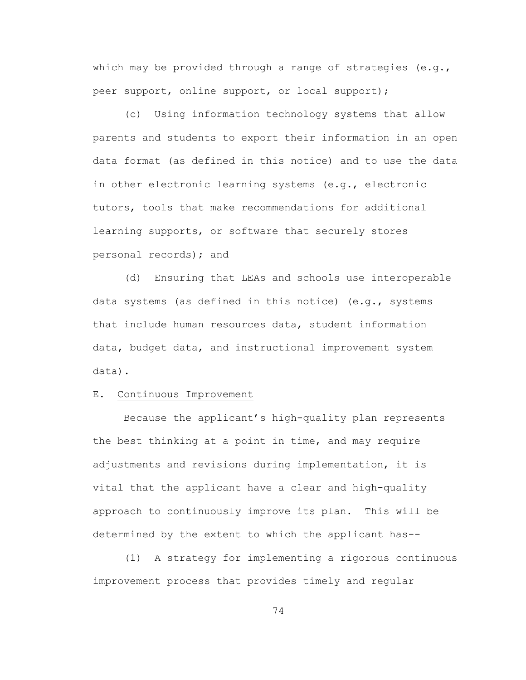which may be provided through a range of strategies  $(e,q,$ peer support, online support, or local support);

(c) Using information technology systems that allow parents and students to export their information in an open data format (as defined in this notice) and to use the data in other electronic learning systems (e.g., electronic tutors, tools that make recommendations for additional learning supports, or software that securely stores personal records); and

(d) Ensuring that LEAs and schools use interoperable data systems (as defined in this notice) (e.g., systems that include human resources data, student information data, budget data, and instructional improvement system data).

#### E. Continuous Improvement

Because the applicant's high-quality plan represents the best thinking at a point in time, and may require adjustments and revisions during implementation, it is vital that the applicant have a clear and high-quality approach to continuously improve its plan. This will be determined by the extent to which the applicant has--

(1) A strategy for implementing a rigorous continuous improvement process that provides timely and regular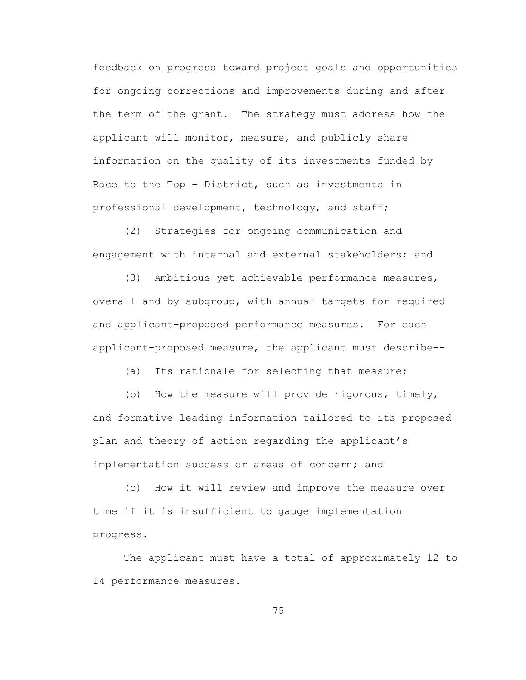feedback on progress toward project goals and opportunities for ongoing corrections and improvements during and after the term of the grant. The strategy must address how the applicant will monitor, measure, and publicly share information on the quality of its investments funded by Race to the Top – District, such as investments in professional development, technology, and staff;

(2) Strategies for ongoing communication and engagement with internal and external stakeholders; and

(3) Ambitious yet achievable performance measures, overall and by subgroup, with annual targets for required and applicant-proposed performance measures. For each applicant-proposed measure, the applicant must describe--

(a) Its rationale for selecting that measure;

(b) How the measure will provide rigorous, timely, and formative leading information tailored to its proposed plan and theory of action regarding the applicant's implementation success or areas of concern; and

(c) How it will review and improve the measure over time if it is insufficient to gauge implementation progress.

The applicant must have a total of approximately 12 to 14 performance measures.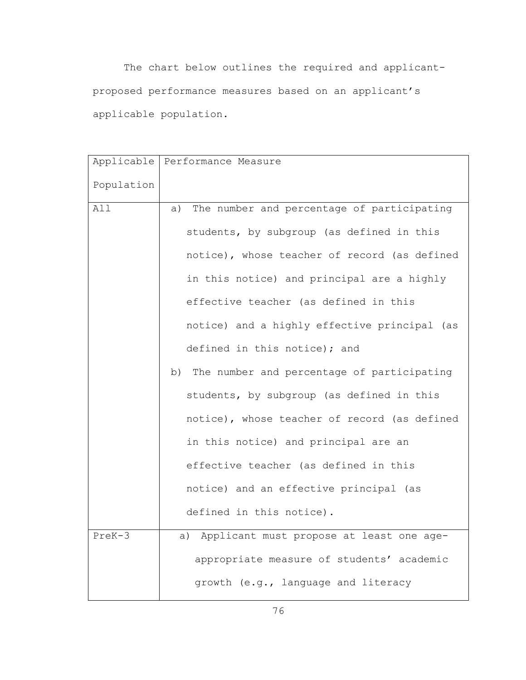The chart below outlines the required and applicantproposed performance measures based on an applicant's applicable population.

| Applicable | Performance Measure                           |
|------------|-----------------------------------------------|
|            |                                               |
| Population |                                               |
| All        | a) The number and percentage of participating |
|            | students, by subgroup (as defined in this     |
|            | notice), whose teacher of record (as defined  |
|            | in this notice) and principal are a highly    |
|            | effective teacher (as defined in this         |
|            | notice) and a highly effective principal (as  |
|            | defined in this notice); and                  |
|            | b) The number and percentage of participating |
|            | students, by subgroup (as defined in this     |
|            | notice), whose teacher of record (as defined  |
|            | in this notice) and principal are an          |
|            | effective teacher (as defined in this         |
|            | notice) and an effective principal (as        |
|            | defined in this notice).                      |
| PreK-3     | a) Applicant must propose at least one age-   |
|            | appropriate measure of students' academic     |
|            | growth (e.g., language and literacy           |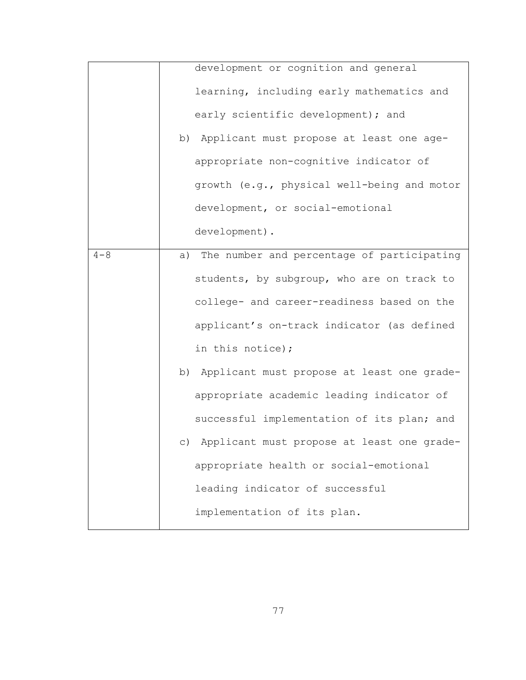| growth (e.g., physical well-being and motor                                                                                                                                          |
|--------------------------------------------------------------------------------------------------------------------------------------------------------------------------------------|
|                                                                                                                                                                                      |
|                                                                                                                                                                                      |
| a) The number and percentage of participating                                                                                                                                        |
|                                                                                                                                                                                      |
|                                                                                                                                                                                      |
|                                                                                                                                                                                      |
|                                                                                                                                                                                      |
| b) Applicant must propose at least one grade-                                                                                                                                        |
|                                                                                                                                                                                      |
|                                                                                                                                                                                      |
| c) Applicant must propose at least one grade-                                                                                                                                        |
|                                                                                                                                                                                      |
|                                                                                                                                                                                      |
|                                                                                                                                                                                      |
|                                                                                                                                                                                      |
| students, by subgroup, who are on track to<br>college- and career-readiness based on the<br>applicant's on-track indicator (as defined<br>successful implementation of its plan; and |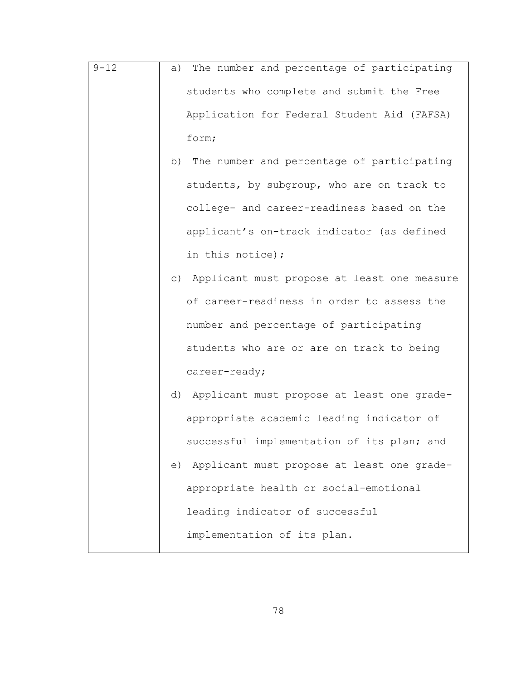- 9-12 a) The number and percentage of participating students who complete and submit the Free Application for Federal Student Aid (FAFSA) form;
	- b) The number and percentage of participating students, by subgroup, who are on track to college- and career-readiness based on the applicant's on-track indicator (as defined in this notice);
	- c) Applicant must propose at least one measure of career-readiness in order to assess the number and percentage of participating students who are or are on track to being career-ready;
	- d) Applicant must propose at least one gradeappropriate academic leading indicator of successful implementation of its plan; and
	- e) Applicant must propose at least one gradeappropriate health or social-emotional leading indicator of successful implementation of its plan.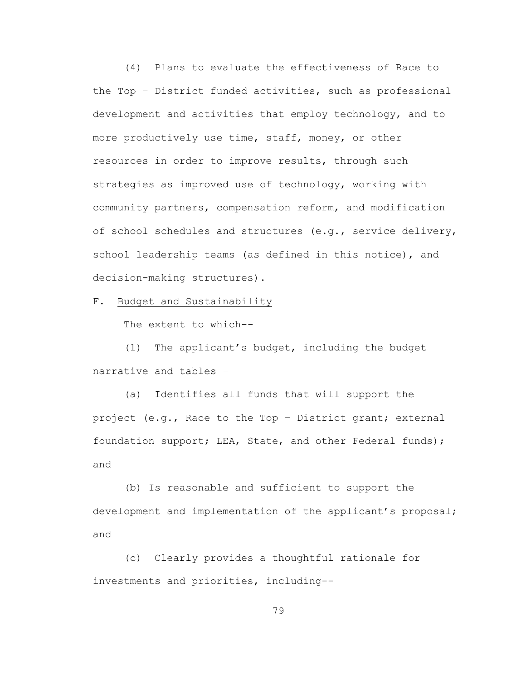(4) Plans to evaluate the effectiveness of Race to the Top – District funded activities, such as professional development and activities that employ technology, and to more productively use time, staff, money, or other resources in order to improve results, through such strategies as improved use of technology, working with community partners, compensation reform, and modification of school schedules and structures (e.g., service delivery, school leadership teams (as defined in this notice), and decision-making structures).

F. Budget and Sustainability

The extent to which--

(1) The applicant's budget, including the budget narrative and tables –

(a) Identifies all funds that will support the project (e.g., Race to the Top – District grant; external foundation support; LEA, State, and other Federal funds); and

(b) Is reasonable and sufficient to support the development and implementation of the applicant's proposal; and

(c) Clearly provides a thoughtful rationale for investments and priorities, including--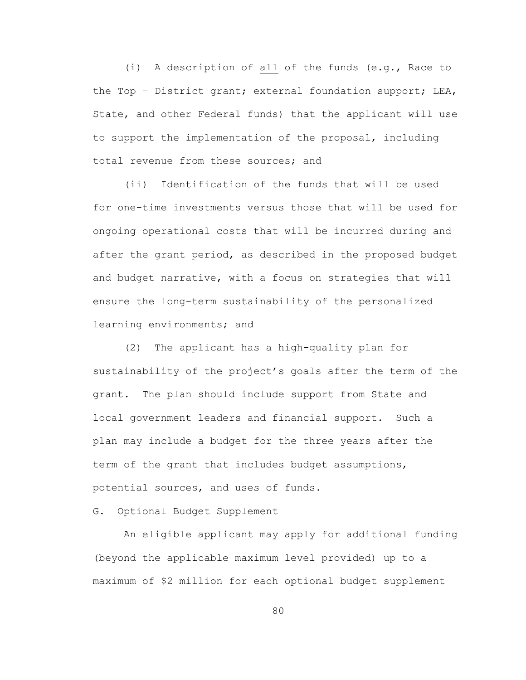(i) A description of all of the funds (e.g., Race to the Top – District grant; external foundation support; LEA, State, and other Federal funds) that the applicant will use to support the implementation of the proposal, including total revenue from these sources; and

(ii) Identification of the funds that will be used for one-time investments versus those that will be used for ongoing operational costs that will be incurred during and after the grant period, as described in the proposed budget and budget narrative, with a focus on strategies that will ensure the long-term sustainability of the personalized learning environments; and

(2) The applicant has a high-quality plan for sustainability of the project's goals after the term of the grant. The plan should include support from State and local government leaders and financial support. Such a plan may include a budget for the three years after the term of the grant that includes budget assumptions, potential sources, and uses of funds.

#### G. Optional Budget Supplement

An eligible applicant may apply for additional funding (beyond the applicable maximum level provided) up to a maximum of \$2 million for each optional budget supplement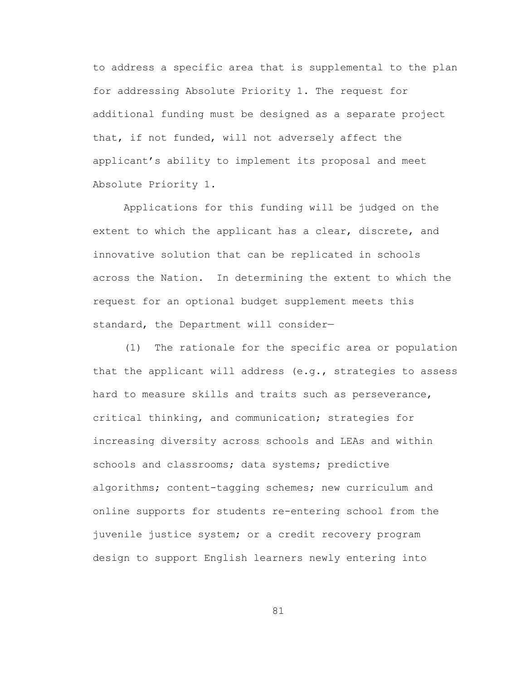to address a specific area that is supplemental to the plan for addressing Absolute Priority 1. The request for additional funding must be designed as a separate project that, if not funded, will not adversely affect the applicant's ability to implement its proposal and meet Absolute Priority 1.

Applications for this funding will be judged on the extent to which the applicant has a clear, discrete, and innovative solution that can be replicated in schools across the Nation. In determining the extent to which the request for an optional budget supplement meets this standard, the Department will consider—

(1) The rationale for the specific area or population that the applicant will address (e.g., strategies to assess hard to measure skills and traits such as perseverance, critical thinking, and communication; strategies for increasing diversity across schools and LEAs and within schools and classrooms; data systems; predictive algorithms; content-tagging schemes; new curriculum and online supports for students re-entering school from the juvenile justice system; or a credit recovery program design to support English learners newly entering into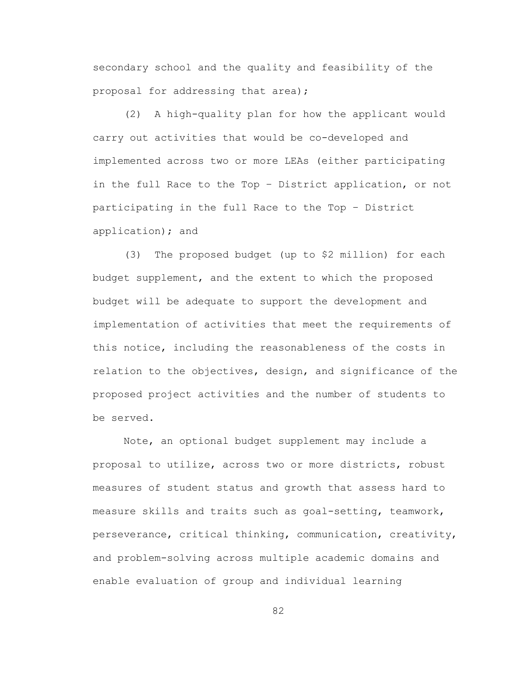secondary school and the quality and feasibility of the proposal for addressing that area);

(2) A high-quality plan for how the applicant would carry out activities that would be co-developed and implemented across two or more LEAs (either participating in the full Race to the Top – District application, or not participating in the full Race to the Top – District application); and

(3) The proposed budget (up to \$2 million) for each budget supplement, and the extent to which the proposed budget will be adequate to support the development and implementation of activities that meet the requirements of this notice, including the reasonableness of the costs in relation to the objectives, design, and significance of the proposed project activities and the number of students to be served.

Note, an optional budget supplement may include a proposal to utilize, across two or more districts, robust measures of student status and growth that assess hard to measure skills and traits such as goal-setting, teamwork, perseverance, critical thinking, communication, creativity, and problem-solving across multiple academic domains and enable evaluation of group and individual learning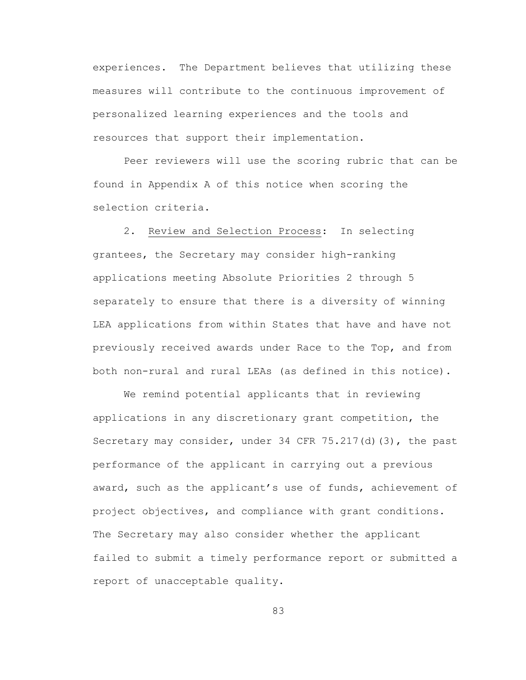experiences. The Department believes that utilizing these measures will contribute to the continuous improvement of personalized learning experiences and the tools and resources that support their implementation.

Peer reviewers will use the scoring rubric that can be found in Appendix A of this notice when scoring the selection criteria.

2. Review and Selection Process:In selecting grantees, the Secretary may consider high-ranking applications meeting Absolute Priorities 2 through 5 separately to ensure that there is a diversity of winning LEA applications from within States that have and have not previously received awards under Race to the Top, and from both non-rural and rural LEAs (as defined in this notice).

We remind potential applicants that in reviewing applications in any discretionary grant competition, the Secretary may consider, under 34 CFR 75.217(d)(3), the past performance of the applicant in carrying out a previous award, such as the applicant's use of funds, achievement of project objectives, and compliance with grant conditions. The Secretary may also consider whether the applicant failed to submit a timely performance report or submitted a report of unacceptable quality.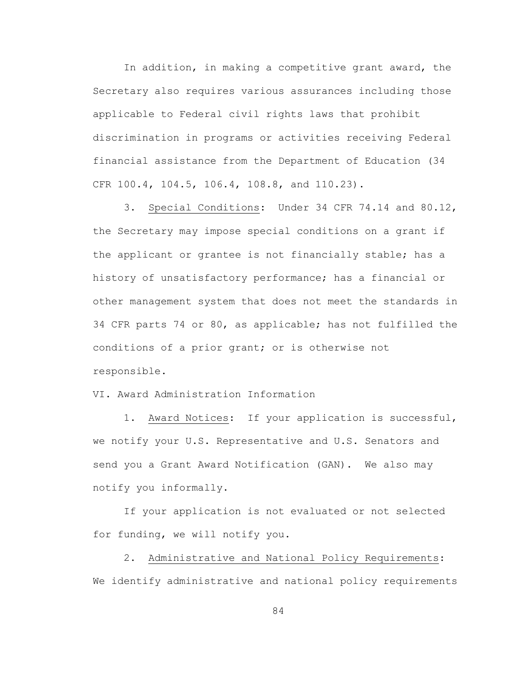In addition, in making a competitive grant award, the Secretary also requires various assurances including those applicable to Federal civil rights laws that prohibit discrimination in programs or activities receiving Federal financial assistance from the Department of Education (34 CFR 100.4, 104.5, 106.4, 108.8, and 110.23).

3. Special Conditions: Under 34 CFR 74.14 and 80.12, the Secretary may impose special conditions on a grant if the applicant or grantee is not financially stable; has a history of unsatisfactory performance; has a financial or other management system that does not meet the standards in 34 CFR parts 74 or 80, as applicable; has not fulfilled the conditions of a prior grant; or is otherwise not responsible.

VI. Award Administration Information

1. Award Notices: If your application is successful, we notify your U.S. Representative and U.S. Senators and send you a Grant Award Notification (GAN). We also may notify you informally.

If your application is not evaluated or not selected for funding, we will notify you.

2. Administrative and National Policy Requirements: We identify administrative and national policy requirements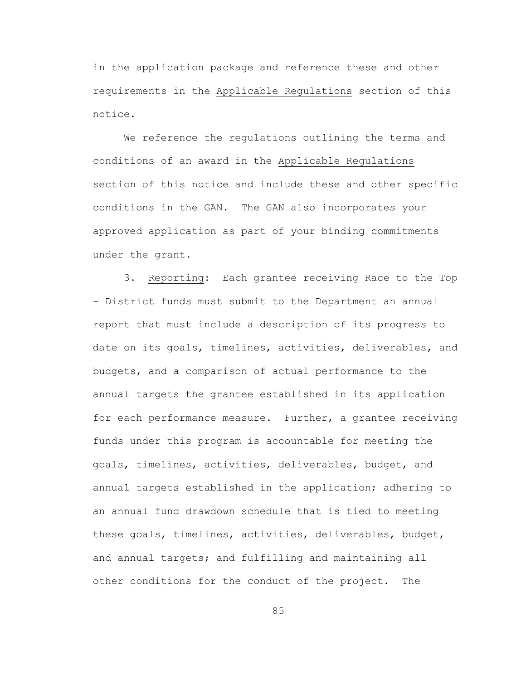in the application package and reference these and other requirements in the Applicable Regulations section of this notice.

We reference the regulations outlining the terms and conditions of an award in the Applicable Regulations section of this notice and include these and other specific conditions in the GAN. The GAN also incorporates your approved application as part of your binding commitments under the grant.

3. Reporting: Each grantee receiving Race to the Top - District funds must submit to the Department an annual report that must include a description of its progress to date on its goals, timelines, activities, deliverables, and budgets, and a comparison of actual performance to the annual targets the grantee established in its application for each performance measure. Further, a grantee receiving funds under this program is accountable for meeting the goals, timelines, activities, deliverables, budget, and annual targets established in the application; adhering to an annual fund drawdown schedule that is tied to meeting these goals, timelines, activities, deliverables, budget, and annual targets; and fulfilling and maintaining all other conditions for the conduct of the project. The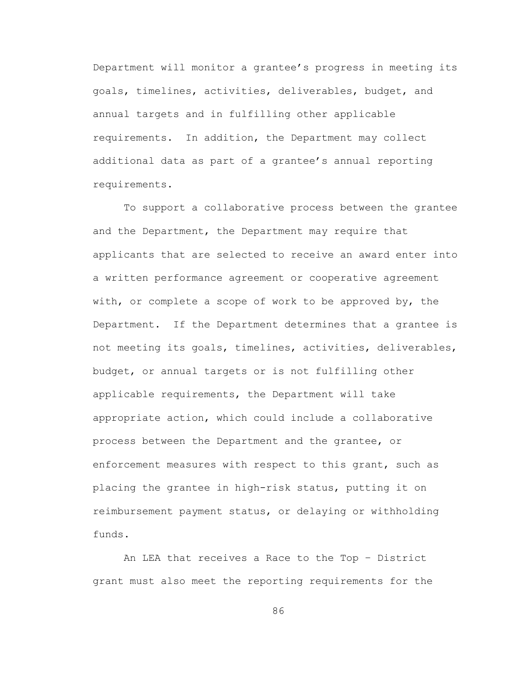Department will monitor a grantee's progress in meeting its goals, timelines, activities, deliverables, budget, and annual targets and in fulfilling other applicable requirements. In addition, the Department may collect additional data as part of a grantee's annual reporting requirements.

To support a collaborative process between the grantee and the Department, the Department may require that applicants that are selected to receive an award enter into a written performance agreement or cooperative agreement with, or complete a scope of work to be approved by, the Department. If the Department determines that a grantee is not meeting its goals, timelines, activities, deliverables, budget, or annual targets or is not fulfilling other applicable requirements, the Department will take appropriate action, which could include a collaborative process between the Department and the grantee, or enforcement measures with respect to this grant, such as placing the grantee in high-risk status, putting it on reimbursement payment status, or delaying or withholding funds.

An LEA that receives a Race to the Top – District grant must also meet the reporting requirements for the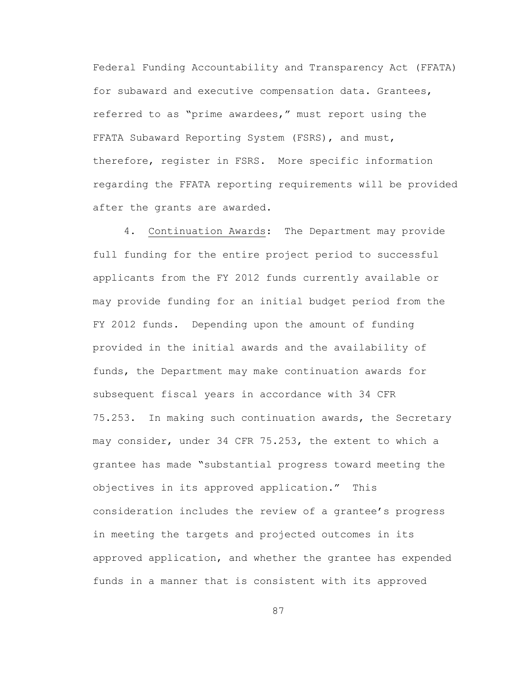Federal Funding Accountability and Transparency Act (FFATA) for subaward and executive compensation data. Grantees, referred to as "prime awardees," must report using the FFATA Subaward Reporting System (FSRS), and must, therefore, register in FSRS. More specific information regarding the FFATA reporting requirements will be provided after the grants are awarded.

4. Continuation Awards: The Department may provide full funding for the entire project period to successful applicants from the FY 2012 funds currently available or may provide funding for an initial budget period from the FY 2012 funds. Depending upon the amount of funding provided in the initial awards and the availability of funds, the Department may make continuation awards for subsequent fiscal years in accordance with 34 CFR 75.253. In making such continuation awards, the Secretary may consider, under 34 CFR 75.253, the extent to which a grantee has made "substantial progress toward meeting the objectives in its approved application." This consideration includes the review of a grantee's progress in meeting the targets and projected outcomes in its approved application, and whether the grantee has expended funds in a manner that is consistent with its approved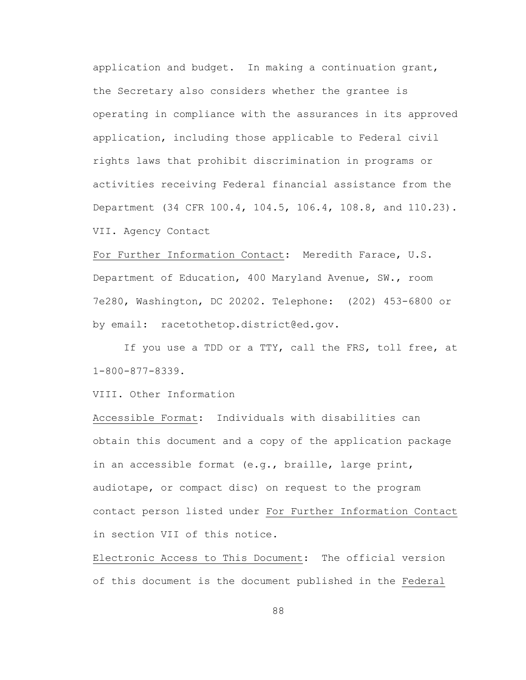application and budget. In making a continuation grant, the Secretary also considers whether the grantee is operating in compliance with the assurances in its approved application, including those applicable to Federal civil rights laws that prohibit discrimination in programs or activities receiving Federal financial assistance from the Department (34 CFR 100.4, 104.5, 106.4, 108.8, and 110.23). VII. Agency Contact

For Further Information Contact: Meredith Farace, U.S. Department of Education, 400 Maryland Avenue, SW., room 7e280, Washington, DC 20202. Telephone: (202) 453-6800 or by email: racetothetop.district@ed.gov.

If you use a TDD or a TTY, call the FRS, toll free, at 1-800-877-8339.

VIII. Other Information

Accessible Format: Individuals with disabilities can obtain this document and a copy of the application package in an accessible format (e.g., braille, large print, audiotape, or compact disc) on request to the program contact person listed under For Further Information Contact in section VII of this notice.

Electronic Access to This Document: The official version of this document is the document published in the Federal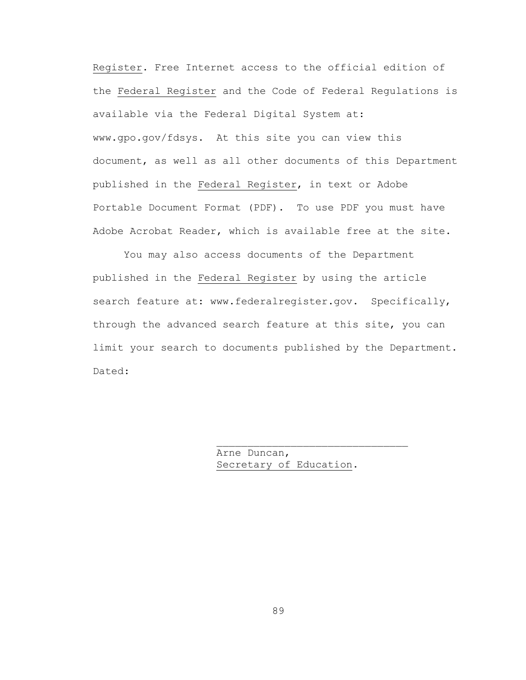Register. Free Internet access to the official edition of the Federal Register and the Code of Federal Regulations is available via the Federal Digital System at: www.gpo.gov/fdsys. At this site you can view this document, as well as all other documents of this Department published in the Federal Register, in text or Adobe Portable Document Format (PDF). To use PDF you must have Adobe Acrobat Reader, which is available free at the site.

You may also access documents of the Department published in the Federal Register by using the article search feature at: www.federalregister.gov. Specifically, through the advanced search feature at this site, you can limit your search to documents published by the Department. Dated:

> Arne Duncan, Secretary of Education.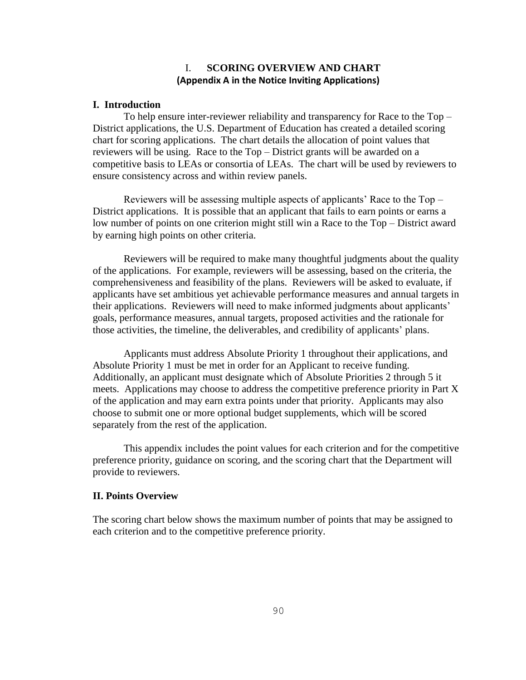### I. **SCORING OVERVIEW AND CHART (Appendix A in the Notice Inviting Applications)**

#### **I. Introduction**

To help ensure inter-reviewer reliability and transparency for Race to the Top – District applications, the U.S. Department of Education has created a detailed scoring chart for scoring applications. The chart details the allocation of point values that reviewers will be using. Race to the Top – District grants will be awarded on a competitive basis to LEAs or consortia of LEAs. The chart will be used by reviewers to ensure consistency across and within review panels.

Reviewers will be assessing multiple aspects of applicants' Race to the Top – District applications. It is possible that an applicant that fails to earn points or earns a low number of points on one criterion might still win a Race to the Top – District award by earning high points on other criteria.

Reviewers will be required to make many thoughtful judgments about the quality of the applications. For example, reviewers will be assessing, based on the criteria, the comprehensiveness and feasibility of the plans. Reviewers will be asked to evaluate, if applicants have set ambitious yet achievable performance measures and annual targets in their applications. Reviewers will need to make informed judgments about applicants' goals, performance measures, annual targets, proposed activities and the rationale for those activities, the timeline, the deliverables, and credibility of applicants' plans.

Applicants must address Absolute Priority 1 throughout their applications, and Absolute Priority 1 must be met in order for an Applicant to receive funding. Additionally, an applicant must designate which of Absolute Priorities 2 through 5 it meets. Applications may choose to address the competitive preference priority in Part X of the application and may earn extra points under that priority. Applicants may also choose to submit one or more optional budget supplements, which will be scored separately from the rest of the application.

This appendix includes the point values for each criterion and for the competitive preference priority, guidance on scoring, and the scoring chart that the Department will provide to reviewers.

#### **II. Points Overview**

The scoring chart below shows the maximum number of points that may be assigned to each criterion and to the competitive preference priority.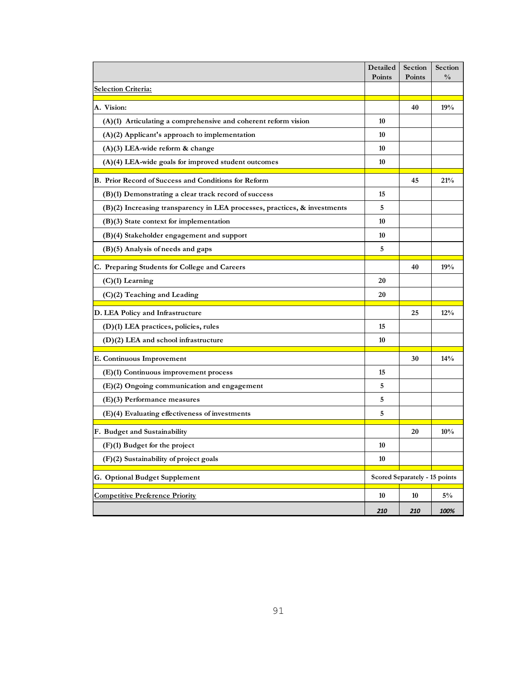|                                                                             | Detailed<br>Points | Section<br>Points | Section<br>$\frac{0}{0}$ |
|-----------------------------------------------------------------------------|--------------------|-------------------|--------------------------|
| <b>Selection Criteria:</b>                                                  |                    |                   |                          |
| A. Vision:                                                                  |                    | 40                | 19%                      |
| $(A)(1)$ Articulating a comprehensive and coherent reform vision            | 10                 |                   |                          |
| $(A)(2)$ Applicant's approach to implementation                             | 10                 |                   |                          |
| (A)(3) LEA-wide reform & change                                             | 10                 |                   |                          |
| $(A)(4)$ LEA-wide goals for improved student outcomes                       | 10                 |                   |                          |
| B. Prior Record of Success and Conditions for Reform                        |                    | 45                | 21%                      |
| (B)(1) Demonstrating a clear track record of success                        | 15                 |                   |                          |
| $(B)(2)$ Increasing transparency in LEA processes, practices, & investments | 5                  |                   |                          |
| $(B)(3)$ State context for implementation                                   | 10                 |                   |                          |
| (B)(4) Stakeholder engagement and support                                   | 10                 |                   |                          |
| (B)(5) Analysis of needs and gaps                                           | 5                  |                   |                          |
| C. Preparing Students for College and Careers                               |                    | 40                | 19%                      |
| (C)(1) Learning                                                             | 20                 |                   |                          |
| (C)(2) Teaching and Leading                                                 | 20                 |                   |                          |
| D. LEA Policy and Infrastructure                                            |                    | 25                | 12%                      |
| (D)(1) LEA practices, policies, rules                                       |                    |                   |                          |
| $(D)(2)$ LEA and school infrastructure                                      |                    |                   |                          |
| E. Continuous Improvement                                                   |                    | 30                | 14%                      |
| (E)(1) Continuous improvement process                                       | 15                 |                   |                          |
| (E)(2) Ongoing communication and engagement                                 |                    |                   |                          |
| $(E)(3)$ Performance measures                                               | 5                  |                   |                          |
| (E)(4) Evaluating effectiveness of investments                              | 5                  |                   |                          |
| F. Budget and Sustainability                                                |                    | 20                | 10%                      |
| (F)(1) Budget for the project                                               |                    |                   |                          |
| (F)(2) Sustainability of project goals                                      |                    |                   |                          |
| G. Optional Budget Supplement<br>Scored Separately - 15 points              |                    |                   |                          |
| <b>Competitive Preference Priority</b>                                      | 10                 | 10                | $5\%$                    |
|                                                                             | 210                | 210               | 100%                     |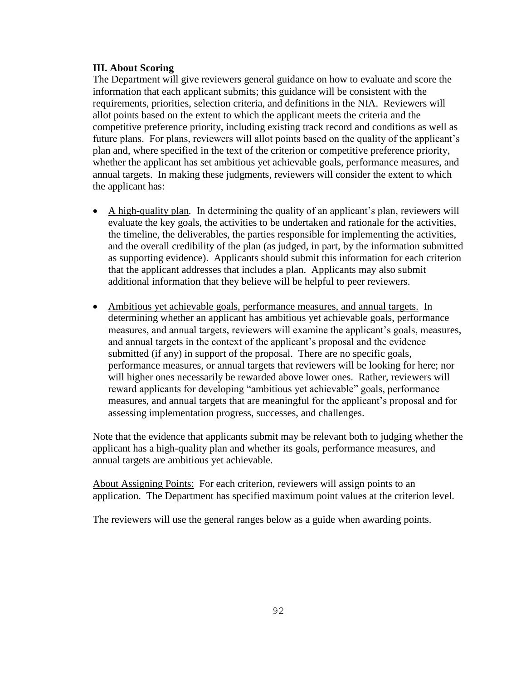#### **III. About Scoring**

The Department will give reviewers general guidance on how to evaluate and score the information that each applicant submits; this guidance will be consistent with the requirements, priorities, selection criteria, and definitions in the NIA. Reviewers will allot points based on the extent to which the applicant meets the criteria and the competitive preference priority, including existing track record and conditions as well as future plans. For plans, reviewers will allot points based on the quality of the applicant's plan and, where specified in the text of the criterion or competitive preference priority, whether the applicant has set ambitious yet achievable goals, performance measures, and annual targets. In making these judgments, reviewers will consider the extent to which the applicant has:

- A high-quality plan*.* In determining the quality of an applicant's plan, reviewers will evaluate the key goals, the activities to be undertaken and rationale for the activities, the timeline, the deliverables, the parties responsible for implementing the activities, and the overall credibility of the plan (as judged, in part, by the information submitted as supporting evidence). Applicants should submit this information for each criterion that the applicant addresses that includes a plan. Applicants may also submit additional information that they believe will be helpful to peer reviewers.
- Ambitious yet achievable goals, performance measures, and annual targets. In determining whether an applicant has ambitious yet achievable goals, performance measures, and annual targets, reviewers will examine the applicant's goals, measures, and annual targets in the context of the applicant's proposal and the evidence submitted (if any) in support of the proposal. There are no specific goals, performance measures, or annual targets that reviewers will be looking for here; nor will higher ones necessarily be rewarded above lower ones. Rather, reviewers will reward applicants for developing "ambitious yet achievable" goals, performance measures, and annual targets that are meaningful for the applicant's proposal and for assessing implementation progress, successes, and challenges.

Note that the evidence that applicants submit may be relevant both to judging whether the applicant has a high-quality plan and whether its goals, performance measures, and annual targets are ambitious yet achievable.

About Assigning Points: For each criterion, reviewers will assign points to an application. The Department has specified maximum point values at the criterion level.

The reviewers will use the general ranges below as a guide when awarding points.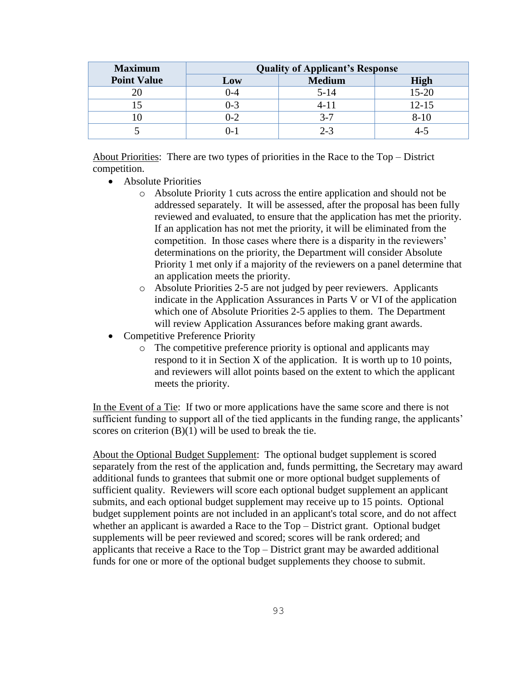| <b>Maximum</b>     | <b>Quality of Applicant's Response</b> |               |             |
|--------------------|----------------------------------------|---------------|-------------|
| <b>Point Value</b> | Low                                    | <b>Medium</b> | <b>High</b> |
|                    | $0 - 4$                                | $5 - 14$      | $15 - 20$   |
|                    | $0 - 3$                                | 4- I          | $12 - 15$   |
|                    | $0 - 2$                                | $3 - 7$       | $8-10$      |
|                    | D-1                                    | $2 - 3$       |             |

About Priorities: There are two types of priorities in the Race to the Top – District competition.

- Absolute Priorities
	- o Absolute Priority 1 cuts across the entire application and should not be addressed separately. It will be assessed, after the proposal has been fully reviewed and evaluated, to ensure that the application has met the priority. If an application has not met the priority, it will be eliminated from the competition. In those cases where there is a disparity in the reviewers' determinations on the priority, the Department will consider Absolute Priority 1 met only if a majority of the reviewers on a panel determine that an application meets the priority.
	- o Absolute Priorities 2-5 are not judged by peer reviewers. Applicants indicate in the Application Assurances in Parts V or VI of the application which one of Absolute Priorities 2-5 applies to them. The Department will review Application Assurances before making grant awards.
- Competitive Preference Priority
	- o The competitive preference priority is optional and applicants may respond to it in Section X of the application. It is worth up to 10 points, and reviewers will allot points based on the extent to which the applicant meets the priority.

In the Event of a Tie: If two or more applications have the same score and there is not sufficient funding to support all of the tied applicants in the funding range, the applicants' scores on criterion  $(B)(1)$  will be used to break the tie.

About the Optional Budget Supplement: The optional budget supplement is scored separately from the rest of the application and, funds permitting, the Secretary may award additional funds to grantees that submit one or more optional budget supplements of sufficient quality. Reviewers will score each optional budget supplement an applicant submits, and each optional budget supplement may receive up to 15 points. Optional budget supplement points are not included in an applicant's total score, and do not affect whether an applicant is awarded a Race to the Top – District grant. Optional budget supplements will be peer reviewed and scored; scores will be rank ordered; and applicants that receive a Race to the Top – District grant may be awarded additional funds for one or more of the optional budget supplements they choose to submit.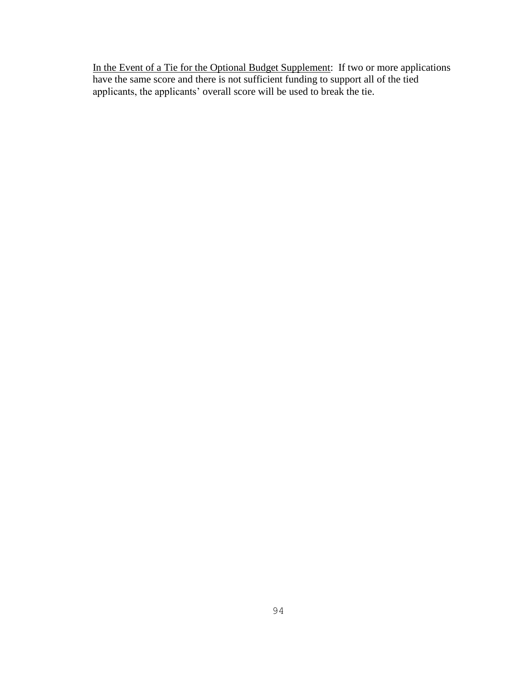In the Event of a Tie for the Optional Budget Supplement: If two or more applications have the same score and there is not sufficient funding to support all of the tied applicants, the applicants' overall score will be used to break the tie.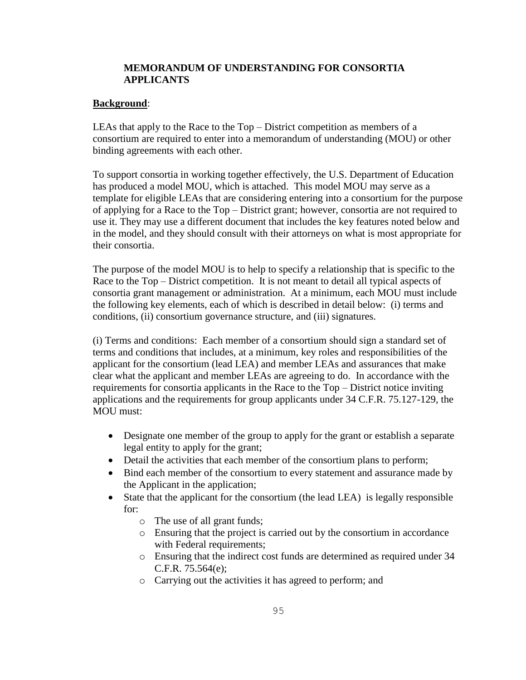### **MEMORANDUM OF UNDERSTANDING FOR CONSORTIA APPLICANTS**

### **Background**:

LEAs that apply to the Race to the Top – District competition as members of a consortium are required to enter into a memorandum of understanding (MOU) or other binding agreements with each other.

To support consortia in working together effectively, the U.S. Department of Education has produced a model MOU, which is attached. This model MOU may serve as a template for eligible LEAs that are considering entering into a consortium for the purpose of applying for a Race to the Top – District grant; however, consortia are not required to use it. They may use a different document that includes the key features noted below and in the model, and they should consult with their attorneys on what is most appropriate for their consortia.

The purpose of the model MOU is to help to specify a relationship that is specific to the Race to the Top – District competition. It is not meant to detail all typical aspects of consortia grant management or administration. At a minimum, each MOU must include the following key elements, each of which is described in detail below: (i) terms and conditions, (ii) consortium governance structure, and (iii) signatures.

(i) Terms and conditions: Each member of a consortium should sign a standard set of terms and conditions that includes, at a minimum, key roles and responsibilities of the applicant for the consortium (lead LEA) and member LEAs and assurances that make clear what the applicant and member LEAs are agreeing to do. In accordance with the requirements for consortia applicants in the Race to the Top – District notice inviting applications and the requirements for group applicants under 34 C.F.R. 75.127-129, the MOU must:

- Designate one member of the group to apply for the grant or establish a separate legal entity to apply for the grant;
- Detail the activities that each member of the consortium plans to perform;
- Bind each member of the consortium to every statement and assurance made by the Applicant in the application;
- State that the applicant for the consortium (the lead LEA) is legally responsible for:
	- o The use of all grant funds;
	- o Ensuring that the project is carried out by the consortium in accordance with Federal requirements;
	- o Ensuring that the indirect cost funds are determined as required under 34 C.F.R. 75.564(e);
	- o Carrying out the activities it has agreed to perform; and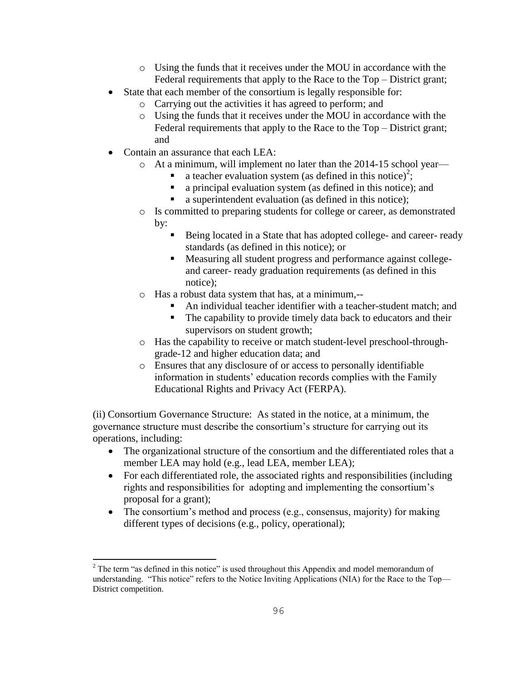- o Using the funds that it receives under the MOU in accordance with the Federal requirements that apply to the Race to the Top – District grant;
- State that each member of the consortium is legally responsible for:
	- o Carrying out the activities it has agreed to perform; and
	- o Using the funds that it receives under the MOU in accordance with the Federal requirements that apply to the Race to the Top – District grant; and
- Contain an assurance that each LEA:
	- o At a minimum, will implement no later than the 2014-15 school year
		- a teacher evaluation system (as defined in this notice)<sup>2</sup>;
		- a principal evaluation system (as defined in this notice); and
		- a superintendent evaluation (as defined in this notice);
	- o Is committed to preparing students for college or career, as demonstrated by:
		- Being located in a State that has adopted college- and career- ready standards (as defined in this notice); or
		- Measuring all student progress and performance against collegeand career- ready graduation requirements (as defined in this notice);
	- o Has a robust data system that has, at a minimum,--
		- An individual teacher identifier with a teacher-student match; and
		- The capability to provide timely data back to educators and their supervisors on student growth;
	- o Has the capability to receive or match student-level preschool-throughgrade-12 and higher education data; and
	- o Ensures that any disclosure of or access to personally identifiable information in students' education records complies with the Family Educational Rights and Privacy Act (FERPA).

(ii) Consortium Governance Structure: As stated in the notice, at a minimum, the governance structure must describe the consortium's structure for carrying out its operations, including:

- The organizational structure of the consortium and the differentiated roles that a member LEA may hold (e.g., lead LEA, member LEA);
- For each differentiated role, the associated rights and responsibilities (including rights and responsibilities for adopting and implementing the consortium's proposal for a grant);
- The consortium's method and process (e.g., consensus, majority) for making different types of decisions (e.g., policy, operational);

l  $2$ <sup>2</sup> The term "as defined in this notice" is used throughout this Appendix and model memorandum of understanding. "This notice" refers to the Notice Inviting Applications (NIA) for the Race to the Top— District competition.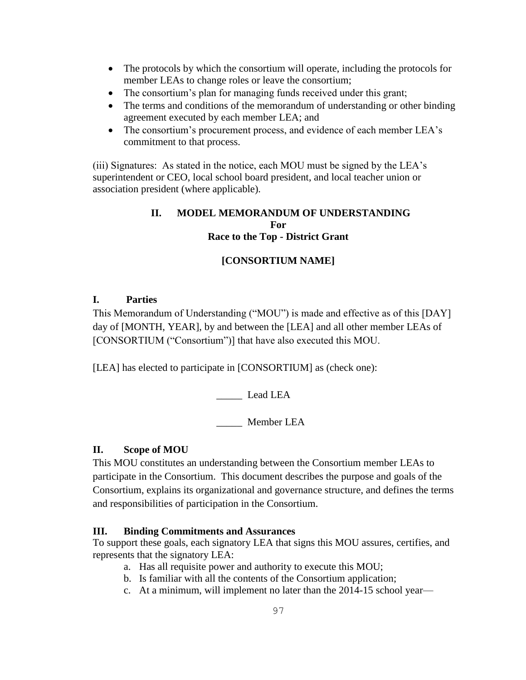- The protocols by which the consortium will operate, including the protocols for member LEAs to change roles or leave the consortium;
- The consortium's plan for managing funds received under this grant;
- The terms and conditions of the memorandum of understanding or other binding agreement executed by each member LEA; and
- The consortium's procurement process, and evidence of each member LEA's commitment to that process.

(iii) Signatures: As stated in the notice, each MOU must be signed by the LEA's superintendent or CEO, local school board president, and local teacher union or association president (where applicable).

## **II. MODEL MEMORANDUM OF UNDERSTANDING For Race to the Top - District Grant**

# **[CONSORTIUM NAME]**

## **I. Parties**

This Memorandum of Understanding ("MOU") is made and effective as of this [DAY] day of [MONTH, YEAR], by and between the [LEA] and all other member LEAs of [CONSORTIUM ("Consortium")] that have also executed this MOU.

[LEA] has elected to participate in [CONSORTIUM] as (check one):

Lead LEA

\_\_\_\_\_ Member LEA

# **II. Scope of MOU**

This MOU constitutes an understanding between the Consortium member LEAs to participate in the Consortium. This document describes the purpose and goals of the Consortium, explains its organizational and governance structure, and defines the terms and responsibilities of participation in the Consortium.

## **III. Binding Commitments and Assurances**

To support these goals, each signatory LEA that signs this MOU assures, certifies, and represents that the signatory LEA:

- a. Has all requisite power and authority to execute this MOU;
- b. Is familiar with all the contents of the Consortium application;
- c. At a minimum, will implement no later than the 2014-15 school year—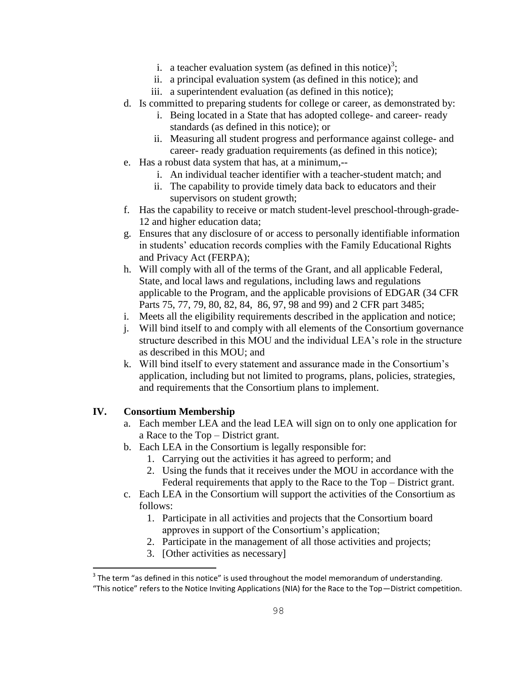- i. a teacher evaluation system (as defined in this notice)<sup>3</sup>;
- ii. a principal evaluation system (as defined in this notice); and
- iii. a superintendent evaluation (as defined in this notice);
- d. Is committed to preparing students for college or career, as demonstrated by:
	- i. Being located in a State that has adopted college- and career- ready standards (as defined in this notice); or
	- ii. Measuring all student progress and performance against college- and career- ready graduation requirements (as defined in this notice);
- e. Has a robust data system that has, at a minimum,-
	- i. An individual teacher identifier with a teacher-student match; and
	- ii. The capability to provide timely data back to educators and their supervisors on student growth;
- f. Has the capability to receive or match student-level preschool-through-grade-12 and higher education data;
- g. Ensures that any disclosure of or access to personally identifiable information in students' education records complies with the Family Educational Rights and Privacy Act (FERPA);
- h. Will comply with all of the terms of the Grant, and all applicable Federal, State, and local laws and regulations, including laws and regulations applicable to the Program, and the applicable provisions of EDGAR (34 CFR Parts 75, 77, 79, 80, 82, 84, 86, 97, 98 and 99) and 2 CFR part 3485;
- i. Meets all the eligibility requirements described in the application and notice;
- j. Will bind itself to and comply with all elements of the Consortium governance structure described in this MOU and the individual LEA's role in the structure as described in this MOU; and
- k. Will bind itself to every statement and assurance made in the Consortium's application, including but not limited to programs, plans, policies, strategies, and requirements that the Consortium plans to implement.

# **IV. Consortium Membership**

- a. Each member LEA and the lead LEA will sign on to only one application for a Race to the Top – District grant.
- b. Each LEA in the Consortium is legally responsible for:
	- 1. Carrying out the activities it has agreed to perform; and
	- 2. Using the funds that it receives under the MOU in accordance with the Federal requirements that apply to the Race to the Top – District grant.
- c. Each LEA in the Consortium will support the activities of the Consortium as follows:
	- 1. Participate in all activities and projects that the Consortium board approves in support of the Consortium's application;
	- 2. Participate in the management of all those activities and projects;
	- 3. [Other activities as necessary]

 $\overline{a}$  $3$  The term "as defined in this notice" is used throughout the model memorandum of understanding. "This notice" refers to the Notice Inviting Applications (NIA) for the Race to the Top—District competition.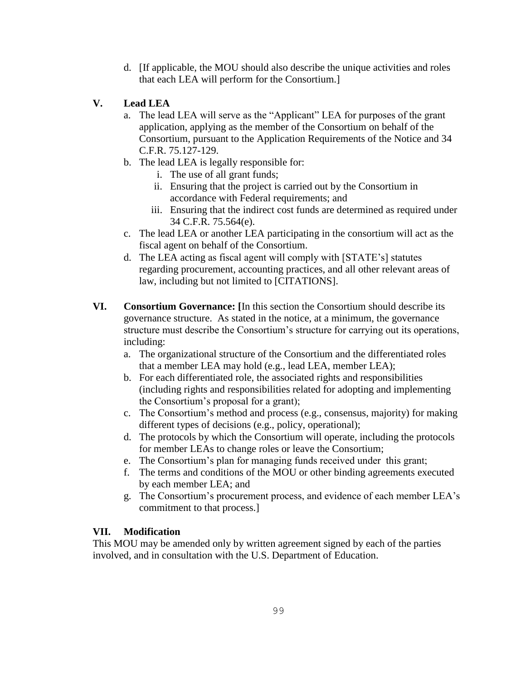d. [If applicable, the MOU should also describe the unique activities and roles that each LEA will perform for the Consortium.]

# **V. Lead LEA**

- a. The lead LEA will serve as the "Applicant" LEA for purposes of the grant application, applying as the member of the Consortium on behalf of the Consortium, pursuant to the Application Requirements of the Notice and 34 C.F.R. 75.127-129.
- b. The lead LEA is legally responsible for:
	- i. The use of all grant funds;
	- ii. Ensuring that the project is carried out by the Consortium in accordance with Federal requirements; and
	- iii. Ensuring that the indirect cost funds are determined as required under 34 C.F.R. 75.564(e).
- c. The lead LEA or another LEA participating in the consortium will act as the fiscal agent on behalf of the Consortium.
- d. The LEA acting as fiscal agent will comply with [STATE's] statutes regarding procurement, accounting practices, and all other relevant areas of law, including but not limited to [CITATIONS].
- **VI. Consortium Governance: [**In this section the Consortium should describe its governance structure. As stated in the notice, at a minimum, the governance structure must describe the Consortium's structure for carrying out its operations, including:
	- a. The organizational structure of the Consortium and the differentiated roles that a member LEA may hold (e.g., lead LEA, member LEA);
	- b. For each differentiated role, the associated rights and responsibilities (including rights and responsibilities related for adopting and implementing the Consortium's proposal for a grant);
	- c. The Consortium's method and process (e.g., consensus, majority) for making different types of decisions (e.g., policy, operational);
	- d. The protocols by which the Consortium will operate, including the protocols for member LEAs to change roles or leave the Consortium;
	- e. The Consortium's plan for managing funds received under this grant;
	- f. The terms and conditions of the MOU or other binding agreements executed by each member LEA; and
	- g. The Consortium's procurement process, and evidence of each member LEA's commitment to that process.]

# **VII. Modification**

This MOU may be amended only by written agreement signed by each of the parties involved, and in consultation with the U.S. Department of Education.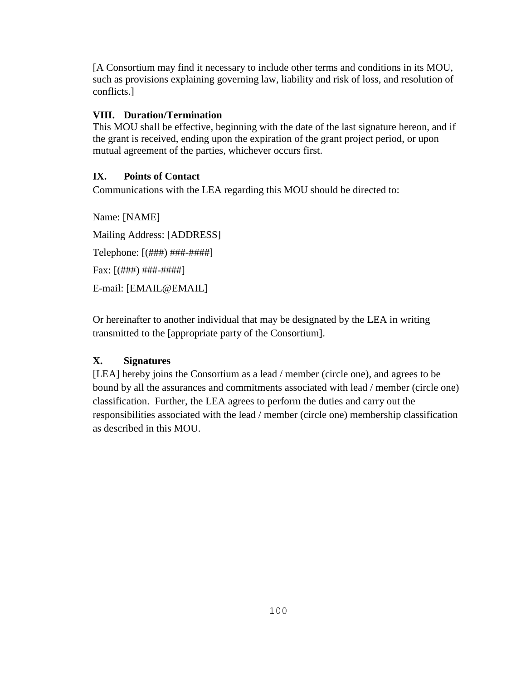[A Consortium may find it necessary to include other terms and conditions in its MOU, such as provisions explaining governing law, liability and risk of loss, and resolution of conflicts.]

## **VIII. Duration/Termination**

This MOU shall be effective, beginning with the date of the last signature hereon, and if the grant is received, ending upon the expiration of the grant project period, or upon mutual agreement of the parties, whichever occurs first.

### **IX. Points of Contact**

Communications with the LEA regarding this MOU should be directed to:

Name: [NAME] Mailing Address: [ADDRESS] Telephone: [(###) ###-####]  $Fax:$   $[(\# \# \#) \# \# \# \# \# \# \# \# \}$ E-mail: [EMAIL@EMAIL]

Or hereinafter to another individual that may be designated by the LEA in writing transmitted to the [appropriate party of the Consortium].

## **X. Signatures**

[LEA] hereby joins the Consortium as a lead / member (circle one), and agrees to be bound by all the assurances and commitments associated with lead / member (circle one) classification. Further, the LEA agrees to perform the duties and carry out the responsibilities associated with the lead / member (circle one) membership classification as described in this MOU.